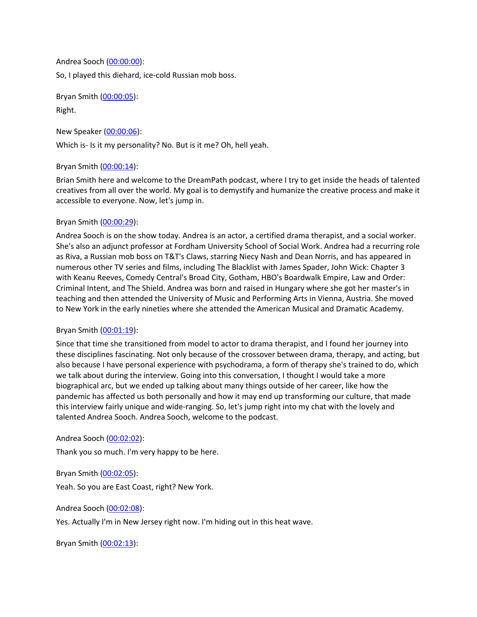Andrea Sooch ([00:00:00](https://www.temi.com/editor/t/qZonUaCVjD-xEijiohIoVOcEKbov8V3DvGdbALsa4pRw_8IzA7w3HncxSsraFyRZ29r0ly3IMZKFCOb90VK5zRCR_Mg?loadFrom=DocumentDeeplink&ts=0.21)): So, I played this diehard, ice-cold Russian mob boss.

Bryan Smith ([00:00:05](https://www.temi.com/editor/t/qZonUaCVjD-xEijiohIoVOcEKbov8V3DvGdbALsa4pRw_8IzA7w3HncxSsraFyRZ29r0ly3IMZKFCOb90VK5zRCR_Mg?loadFrom=DocumentDeeplink&ts=5.101)): Right.

New Speaker ([00:00:06\)](https://www.temi.com/editor/t/qZonUaCVjD-xEijiohIoVOcEKbov8V3DvGdbALsa4pRw_8IzA7w3HncxSsraFyRZ29r0ly3IMZKFCOb90VK5zRCR_Mg?loadFrom=DocumentDeeplink&ts=6.51):

Which is- Is it my personality? No. But is it me? Oh, hell yeah.

# Bryan Smith ([00:00:14](https://www.temi.com/editor/t/qZonUaCVjD-xEijiohIoVOcEKbov8V3DvGdbALsa4pRw_8IzA7w3HncxSsraFyRZ29r0ly3IMZKFCOb90VK5zRCR_Mg?loadFrom=DocumentDeeplink&ts=14.75)):

Brian Smith here and welcome to the DreamPath podcast, where I try to get inside the heads of talented creatives from all over the world. My goal is to demystify and humanize the creative process and make it accessible to everyone. Now, let's jump in.

# Bryan Smith ([00:00:29](https://www.temi.com/editor/t/qZonUaCVjD-xEijiohIoVOcEKbov8V3DvGdbALsa4pRw_8IzA7w3HncxSsraFyRZ29r0ly3IMZKFCOb90VK5zRCR_Mg?loadFrom=DocumentDeeplink&ts=29.901)):

Andrea Sooch is on the show today. Andrea is an actor, a certified drama therapist, and a social worker. She's also an adjunct professor at Fordham University School of Social Work. Andrea had a recurring role as Riva, a Russian mob boss on T&T's Claws, starring Niecy Nash and Dean Norris, and has appeared in numerous other TV series and films, including The Blacklist with James Spader, John Wick: Chapter 3 with Keanu Reeves, Comedy Central's Broad City, Gotham, HBO's Boardwalk Empire, Law and Order: Criminal Intent, and The Shield. Andrea was born and raised in Hungary where she got her master's in teaching and then attended the University of Music and Performing Arts in Vienna, Austria. She moved to New York in the early nineties where she attended the American Musical and Dramatic Academy.

# Bryan Smith ([00:01:19](https://www.temi.com/editor/t/qZonUaCVjD-xEijiohIoVOcEKbov8V3DvGdbALsa4pRw_8IzA7w3HncxSsraFyRZ29r0ly3IMZKFCOb90VK5zRCR_Mg?loadFrom=DocumentDeeplink&ts=79.61)):

Since that time she transitioned from model to actor to drama therapist, and I found her journey into these disciplines fascinating. Not only because of the crossover between drama, therapy, and acting, but also because I have personal experience with psychodrama, a form of therapy she's trained to do, which we talk about during the interview. Going into this conversation, I thought I would take a more biographical arc, but we ended up talking about many things outside of her career, like how the pandemic has affected us both personally and how it may end up transforming our culture, that made this interview fairly unique and wide-ranging. So, let's jump right into my chat with the lovely and talented Andrea Sooch. Andrea Sooch, welcome to the podcast.

Andrea Sooch ([00:02:02](https://www.temi.com/editor/t/qZonUaCVjD-xEijiohIoVOcEKbov8V3DvGdbALsa4pRw_8IzA7w3HncxSsraFyRZ29r0ly3IMZKFCOb90VK5zRCR_Mg?loadFrom=DocumentDeeplink&ts=122)):

Thank you so much. I'm very happy to be here.

Bryan Smith ([00:02:05](https://www.temi.com/editor/t/qZonUaCVjD-xEijiohIoVOcEKbov8V3DvGdbALsa4pRw_8IzA7w3HncxSsraFyRZ29r0ly3IMZKFCOb90VK5zRCR_Mg?loadFrom=DocumentDeeplink&ts=125.15)): Yeah. So you are East Coast, right? New York.

Andrea Sooch ([00:02:08](https://www.temi.com/editor/t/qZonUaCVjD-xEijiohIoVOcEKbov8V3DvGdbALsa4pRw_8IzA7w3HncxSsraFyRZ29r0ly3IMZKFCOb90VK5zRCR_Mg?loadFrom=DocumentDeeplink&ts=128.06)):

Yes. Actually I'm in New Jersey right now. I'm hiding out in this heat wave.

Bryan Smith ([00:02:13](https://www.temi.com/editor/t/qZonUaCVjD-xEijiohIoVOcEKbov8V3DvGdbALsa4pRw_8IzA7w3HncxSsraFyRZ29r0ly3IMZKFCOb90VK5zRCR_Mg?loadFrom=DocumentDeeplink&ts=133.22)):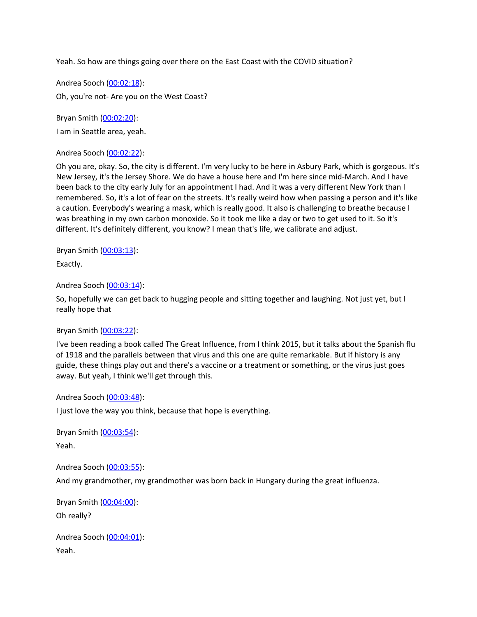Yeah. So how are things going over there on the East Coast with the COVID situation?

Andrea Sooch ([00:02:18](https://www.temi.com/editor/t/qZonUaCVjD-xEijiohIoVOcEKbov8V3DvGdbALsa4pRw_8IzA7w3HncxSsraFyRZ29r0ly3IMZKFCOb90VK5zRCR_Mg?loadFrom=DocumentDeeplink&ts=138.14)): Oh, you're not- Are you on the West Coast?

Bryan Smith ([00:02:20](https://www.temi.com/editor/t/qZonUaCVjD-xEijiohIoVOcEKbov8V3DvGdbALsa4pRw_8IzA7w3HncxSsraFyRZ29r0ly3IMZKFCOb90VK5zRCR_Mg?loadFrom=DocumentDeeplink&ts=140.3)):

I am in Seattle area, yeah.

Andrea Sooch ([00:02:22](https://www.temi.com/editor/t/qZonUaCVjD-xEijiohIoVOcEKbov8V3DvGdbALsa4pRw_8IzA7w3HncxSsraFyRZ29r0ly3IMZKFCOb90VK5zRCR_Mg?loadFrom=DocumentDeeplink&ts=142.91)):

Oh you are, okay. So, the city is different. I'm very lucky to be here in Asbury Park, which is gorgeous. It's New Jersey, it's the Jersey Shore. We do have a house here and I'm here since mid-March. And I have been back to the city early July for an appointment I had. And it was a very different New York than I remembered. So, it's a lot of fear on the streets. It's really weird how when passing a person and it's like a caution. Everybody's wearing a mask, which is really good. It also is challenging to breathe because I was breathing in my own carbon monoxide. So it took me like a day or two to get used to it. So it's different. It's definitely different, you know? I mean that's life, we calibrate and adjust.

Bryan Smith ([00:03:13](https://www.temi.com/editor/t/qZonUaCVjD-xEijiohIoVOcEKbov8V3DvGdbALsa4pRw_8IzA7w3HncxSsraFyRZ29r0ly3IMZKFCOb90VK5zRCR_Mg?loadFrom=DocumentDeeplink&ts=193.18)):

Exactly.

Andrea Sooch ([00:03:14](https://www.temi.com/editor/t/qZonUaCVjD-xEijiohIoVOcEKbov8V3DvGdbALsa4pRw_8IzA7w3HncxSsraFyRZ29r0ly3IMZKFCOb90VK5zRCR_Mg?loadFrom=DocumentDeeplink&ts=194.23)):

So, hopefully we can get back to hugging people and sitting together and laughing. Not just yet, but I really hope that

#### Bryan Smith ([00:03:22](https://www.temi.com/editor/t/qZonUaCVjD-xEijiohIoVOcEKbov8V3DvGdbALsa4pRw_8IzA7w3HncxSsraFyRZ29r0ly3IMZKFCOb90VK5zRCR_Mg?loadFrom=DocumentDeeplink&ts=202.38)):

I've been reading a book called The Great Influence, from I think 2015, but it talks about the Spanish flu of 1918 and the parallels between that virus and this one are quite remarkable. But if history is any guide, these things play out and there's a vaccine or a treatment or something, or the virus just goes away. But yeah, I think we'll get through this.

#### Andrea Sooch ([00:03:48](https://www.temi.com/editor/t/qZonUaCVjD-xEijiohIoVOcEKbov8V3DvGdbALsa4pRw_8IzA7w3HncxSsraFyRZ29r0ly3IMZKFCOb90VK5zRCR_Mg?loadFrom=DocumentDeeplink&ts=228.06)):

I just love the way you think, because that hope is everything.

Bryan Smith ([00:03:54](https://www.temi.com/editor/t/qZonUaCVjD-xEijiohIoVOcEKbov8V3DvGdbALsa4pRw_8IzA7w3HncxSsraFyRZ29r0ly3IMZKFCOb90VK5zRCR_Mg?loadFrom=DocumentDeeplink&ts=234)): Yeah.

Andrea Sooch ([00:03:55](https://www.temi.com/editor/t/qZonUaCVjD-xEijiohIoVOcEKbov8V3DvGdbALsa4pRw_8IzA7w3HncxSsraFyRZ29r0ly3IMZKFCOb90VK5zRCR_Mg?loadFrom=DocumentDeeplink&ts=235.05)):

And my grandmother, my grandmother was born back in Hungary during the great influenza.

Bryan Smith ([00:04:00](https://www.temi.com/editor/t/qZonUaCVjD-xEijiohIoVOcEKbov8V3DvGdbALsa4pRw_8IzA7w3HncxSsraFyRZ29r0ly3IMZKFCOb90VK5zRCR_Mg?loadFrom=DocumentDeeplink&ts=240.66)): Oh really?

Andrea Sooch ([00:04:01](https://www.temi.com/editor/t/qZonUaCVjD-xEijiohIoVOcEKbov8V3DvGdbALsa4pRw_8IzA7w3HncxSsraFyRZ29r0ly3IMZKFCOb90VK5zRCR_Mg?loadFrom=DocumentDeeplink&ts=241.53)): Yeah.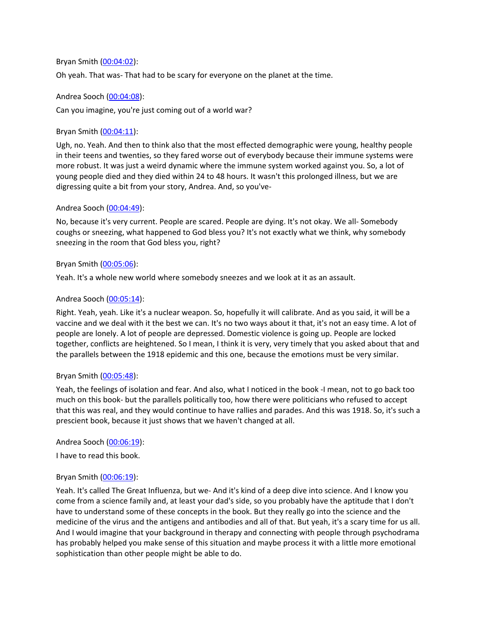#### Bryan Smith ([00:04:02](https://www.temi.com/editor/t/qZonUaCVjD-xEijiohIoVOcEKbov8V3DvGdbALsa4pRw_8IzA7w3HncxSsraFyRZ29r0ly3IMZKFCOb90VK5zRCR_Mg?loadFrom=DocumentDeeplink&ts=242.731)):

Oh yeah. That was- That had to be scary for everyone on the planet at the time.

#### Andrea Sooch ([00:04:08](https://www.temi.com/editor/t/qZonUaCVjD-xEijiohIoVOcEKbov8V3DvGdbALsa4pRw_8IzA7w3HncxSsraFyRZ29r0ly3IMZKFCOb90VK5zRCR_Mg?loadFrom=DocumentDeeplink&ts=248.14)):

Can you imagine, you're just coming out of a world war?

#### Bryan Smith ([00:04:11](https://www.temi.com/editor/t/qZonUaCVjD-xEijiohIoVOcEKbov8V3DvGdbALsa4pRw_8IzA7w3HncxSsraFyRZ29r0ly3IMZKFCOb90VK5zRCR_Mg?loadFrom=DocumentDeeplink&ts=251.7)):

Ugh, no. Yeah. And then to think also that the most effected demographic were young, healthy people in their teens and twenties, so they fared worse out of everybody because their immune systems were more robust. It was just a weird dynamic where the immune system worked against you. So, a lot of young people died and they died within 24 to 48 hours. It wasn't this prolonged illness, but we are digressing quite a bit from your story, Andrea. And, so you've-

#### Andrea Sooch ([00:04:49](https://www.temi.com/editor/t/qZonUaCVjD-xEijiohIoVOcEKbov8V3DvGdbALsa4pRw_8IzA7w3HncxSsraFyRZ29r0ly3IMZKFCOb90VK5zRCR_Mg?loadFrom=DocumentDeeplink&ts=289.2)):

No, because it's very current. People are scared. People are dying. It's not okay. We all- Somebody coughs or sneezing, what happened to God bless you? It's not exactly what we think, why somebody sneezing in the room that God bless you, right?

#### Bryan Smith ([00:05:06](https://www.temi.com/editor/t/qZonUaCVjD-xEijiohIoVOcEKbov8V3DvGdbALsa4pRw_8IzA7w3HncxSsraFyRZ29r0ly3IMZKFCOb90VK5zRCR_Mg?loadFrom=DocumentDeeplink&ts=306)):

Yeah. It's a whole new world where somebody sneezes and we look at it as an assault.

# Andrea Sooch ([00:05:14](https://www.temi.com/editor/t/qZonUaCVjD-xEijiohIoVOcEKbov8V3DvGdbALsa4pRw_8IzA7w3HncxSsraFyRZ29r0ly3IMZKFCOb90VK5zRCR_Mg?loadFrom=DocumentDeeplink&ts=314.88)):

Right. Yeah, yeah. Like it's a nuclear weapon. So, hopefully it will calibrate. And as you said, it will be a vaccine and we deal with it the best we can. It's no two ways about it that, it's not an easy time. A lot of people are lonely. A lot of people are depressed. Domestic violence is going up. People are locked together, conflicts are heightened. So I mean, I think it is very, very timely that you asked about that and the parallels between the 1918 epidemic and this one, because the emotions must be very similar.

#### Bryan Smith ([00:05:48](https://www.temi.com/editor/t/qZonUaCVjD-xEijiohIoVOcEKbov8V3DvGdbALsa4pRw_8IzA7w3HncxSsraFyRZ29r0ly3IMZKFCOb90VK5zRCR_Mg?loadFrom=DocumentDeeplink&ts=348.87)):

Yeah, the feelings of isolation and fear. And also, what I noticed in the book -I mean, not to go back too much on this book- but the parallels politically too, how there were politicians who refused to accept that this was real, and they would continue to have rallies and parades. And this was 1918. So, it's such a prescient book, because it just shows that we haven't changed at all.

#### Andrea Sooch ([00:06:19](https://www.temi.com/editor/t/qZonUaCVjD-xEijiohIoVOcEKbov8V3DvGdbALsa4pRw_8IzA7w3HncxSsraFyRZ29r0ly3IMZKFCOb90VK5zRCR_Mg?loadFrom=DocumentDeeplink&ts=379.85)):

I have to read this book.

#### Bryan Smith ([00:06:19](https://www.temi.com/editor/t/qZonUaCVjD-xEijiohIoVOcEKbov8V3DvGdbALsa4pRw_8IzA7w3HncxSsraFyRZ29r0ly3IMZKFCOb90VK5zRCR_Mg?loadFrom=DocumentDeeplink&ts=379.85)):

Yeah. It's called The Great Influenza, but we- And it's kind of a deep dive into science. And I know you come from a science family and, at least your dad's side, so you probably have the aptitude that I don't have to understand some of these concepts in the book. But they really go into the science and the medicine of the virus and the antigens and antibodies and all of that. But yeah, it's a scary time for us all. And I would imagine that your background in therapy and connecting with people through psychodrama has probably helped you make sense of this situation and maybe process it with a little more emotional sophistication than other people might be able to do.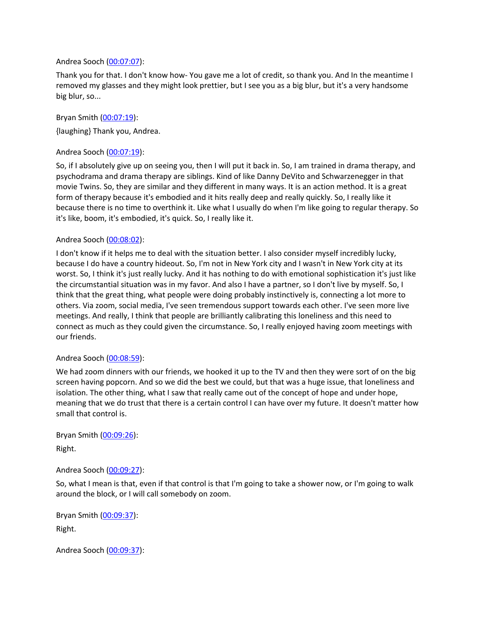#### Andrea Sooch ([00:07:07](https://www.temi.com/editor/t/qZonUaCVjD-xEijiohIoVOcEKbov8V3DvGdbALsa4pRw_8IzA7w3HncxSsraFyRZ29r0ly3IMZKFCOb90VK5zRCR_Mg?loadFrom=DocumentDeeplink&ts=427.75)):

Thank you for that. I don't know how- You gave me a lot of credit, so thank you. And In the meantime I removed my glasses and they might look prettier, but I see you as a big blur, but it's a very handsome big blur, so...

Bryan Smith ([00:07:19](https://www.temi.com/editor/t/qZonUaCVjD-xEijiohIoVOcEKbov8V3DvGdbALsa4pRw_8IzA7w3HncxSsraFyRZ29r0ly3IMZKFCOb90VK5zRCR_Mg?loadFrom=DocumentDeeplink&ts=439.67)): {laughing} Thank you, Andrea.

#### Andrea Sooch ([00:07:19](https://www.temi.com/editor/t/qZonUaCVjD-xEijiohIoVOcEKbov8V3DvGdbALsa4pRw_8IzA7w3HncxSsraFyRZ29r0ly3IMZKFCOb90VK5zRCR_Mg?loadFrom=DocumentDeeplink&ts=439.67)):

So, if I absolutely give up on seeing you, then I will put it back in. So, I am trained in drama therapy, and psychodrama and drama therapy are siblings. Kind of like Danny DeVito and Schwarzenegger in that movie Twins. So, they are similar and they different in many ways. It is an action method. It is a great form of therapy because it's embodied and it hits really deep and really quickly. So, I really like it because there is no time to overthink it. Like what I usually do when I'm like going to regular therapy. So it's like, boom, it's embodied, it's quick. So, I really like it.

#### Andrea Sooch ([00:08:02](https://www.temi.com/editor/t/qZonUaCVjD-xEijiohIoVOcEKbov8V3DvGdbALsa4pRw_8IzA7w3HncxSsraFyRZ29r0ly3IMZKFCOb90VK5zRCR_Mg?loadFrom=DocumentDeeplink&ts=482.5)):

I don't know if it helps me to deal with the situation better. I also consider myself incredibly lucky, because I do have a country hideout. So, I'm not in New York city and I wasn't in New York city at its worst. So, I think it's just really lucky. And it has nothing to do with emotional sophistication it's just like the circumstantial situation was in my favor. And also I have a partner, so I don't live by myself. So, I think that the great thing, what people were doing probably instinctively is, connecting a lot more to others. Via zoom, social media, I've seen tremendous support towards each other. I've seen more live meetings. And really, I think that people are brilliantly calibrating this loneliness and this need to connect as much as they could given the circumstance. So, I really enjoyed having zoom meetings with our friends.

#### Andrea Sooch ([00:08:59](https://www.temi.com/editor/t/qZonUaCVjD-xEijiohIoVOcEKbov8V3DvGdbALsa4pRw_8IzA7w3HncxSsraFyRZ29r0ly3IMZKFCOb90VK5zRCR_Mg?loadFrom=DocumentDeeplink&ts=539.34)):

We had zoom dinners with our friends, we hooked it up to the TV and then they were sort of on the big screen having popcorn. And so we did the best we could, but that was a huge issue, that loneliness and isolation. The other thing, what I saw that really came out of the concept of hope and under hope, meaning that we do trust that there is a certain control I can have over my future. It doesn't matter how small that control is.

Bryan Smith ([00:09:26](https://www.temi.com/editor/t/qZonUaCVjD-xEijiohIoVOcEKbov8V3DvGdbALsa4pRw_8IzA7w3HncxSsraFyRZ29r0ly3IMZKFCOb90VK5zRCR_Mg?loadFrom=DocumentDeeplink&ts=566.82)): Right.

#### Andrea Sooch ([00:09:27](https://www.temi.com/editor/t/qZonUaCVjD-xEijiohIoVOcEKbov8V3DvGdbALsa4pRw_8IzA7w3HncxSsraFyRZ29r0ly3IMZKFCOb90VK5zRCR_Mg?loadFrom=DocumentDeeplink&ts=567.45)):

So, what I mean is that, even if that control is that I'm going to take a shower now, or I'm going to walk around the block, or I will call somebody on zoom.

Bryan Smith ([00:09:37](https://www.temi.com/editor/t/qZonUaCVjD-xEijiohIoVOcEKbov8V3DvGdbALsa4pRw_8IzA7w3HncxSsraFyRZ29r0ly3IMZKFCOb90VK5zRCR_Mg?loadFrom=DocumentDeeplink&ts=577.2)): Right.

Andrea Sooch ([00:09:37](https://www.temi.com/editor/t/qZonUaCVjD-xEijiohIoVOcEKbov8V3DvGdbALsa4pRw_8IzA7w3HncxSsraFyRZ29r0ly3IMZKFCOb90VK5zRCR_Mg?loadFrom=DocumentDeeplink&ts=577.2)):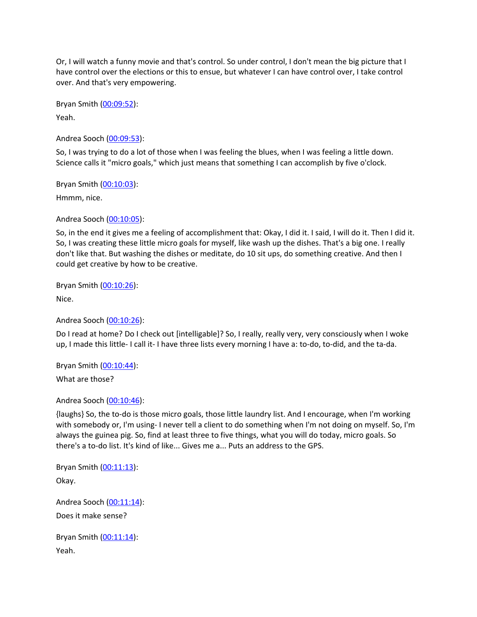Or, I will watch a funny movie and that's control. So under control, I don't mean the big picture that I have control over the elections or this to ensue, but whatever I can have control over, I take control over. And that's very empowering.

Bryan Smith ([00:09:52](https://www.temi.com/editor/t/qZonUaCVjD-xEijiohIoVOcEKbov8V3DvGdbALsa4pRw_8IzA7w3HncxSsraFyRZ29r0ly3IMZKFCOb90VK5zRCR_Mg?loadFrom=DocumentDeeplink&ts=592.201)):

Yeah.

Andrea Sooch ([00:09:53](https://www.temi.com/editor/t/qZonUaCVjD-xEijiohIoVOcEKbov8V3DvGdbALsa4pRw_8IzA7w3HncxSsraFyRZ29r0ly3IMZKFCOb90VK5zRCR_Mg?loadFrom=DocumentDeeplink&ts=593.43)):

So, I was trying to do a lot of those when I was feeling the blues, when I was feeling a little down. Science calls it "micro goals," which just means that something I can accomplish by five o'clock.

Bryan Smith ([00:10:03](https://www.temi.com/editor/t/qZonUaCVjD-xEijiohIoVOcEKbov8V3DvGdbALsa4pRw_8IzA7w3HncxSsraFyRZ29r0ly3IMZKFCOb90VK5zRCR_Mg?loadFrom=DocumentDeeplink&ts=603.391)):

Hmmm, nice.

Andrea Sooch ([00:10:05](https://www.temi.com/editor/t/qZonUaCVjD-xEijiohIoVOcEKbov8V3DvGdbALsa4pRw_8IzA7w3HncxSsraFyRZ29r0ly3IMZKFCOb90VK5zRCR_Mg?loadFrom=DocumentDeeplink&ts=605.34)):

So, in the end it gives me a feeling of accomplishment that: Okay, I did it. I said, I will do it. Then I did it. So, I was creating these little micro goals for myself, like wash up the dishes. That's a big one. I really don't like that. But washing the dishes or meditate, do 10 sit ups, do something creative. And then I could get creative by how to be creative.

Bryan Smith ([00:10:26](https://www.temi.com/editor/t/qZonUaCVjD-xEijiohIoVOcEKbov8V3DvGdbALsa4pRw_8IzA7w3HncxSsraFyRZ29r0ly3IMZKFCOb90VK5zRCR_Mg?loadFrom=DocumentDeeplink&ts=626.731)):

Nice.

Andrea Sooch ([00:10:26](https://www.temi.com/editor/t/qZonUaCVjD-xEijiohIoVOcEKbov8V3DvGdbALsa4pRw_8IzA7w3HncxSsraFyRZ29r0ly3IMZKFCOb90VK5zRCR_Mg?loadFrom=DocumentDeeplink&ts=626.731)):

Do I read at home? Do I check out [intelligable]? So, I really, really very, very consciously when I woke up, I made this little- I call it- I have three lists every morning I have a: to-do, to-did, and the ta-da.

Bryan Smith ([00:10:44](https://www.temi.com/editor/t/qZonUaCVjD-xEijiohIoVOcEKbov8V3DvGdbALsa4pRw_8IzA7w3HncxSsraFyRZ29r0ly3IMZKFCOb90VK5zRCR_Mg?loadFrom=DocumentDeeplink&ts=644.39)):

What are those?

Andrea Sooch ([00:10:46](https://www.temi.com/editor/t/qZonUaCVjD-xEijiohIoVOcEKbov8V3DvGdbALsa4pRw_8IzA7w3HncxSsraFyRZ29r0ly3IMZKFCOb90VK5zRCR_Mg?loadFrom=DocumentDeeplink&ts=646.88)):

{laughs} So, the to-do is those micro goals, those little laundry list. And I encourage, when I'm working with somebody or, I'm using- I never tell a client to do something when I'm not doing on myself. So, I'm always the guinea pig. So, find at least three to five things, what you will do today, micro goals. So there's a to-do list. It's kind of like... Gives me a... Puts an address to the GPS.

Bryan Smith ([00:11:13](https://www.temi.com/editor/t/qZonUaCVjD-xEijiohIoVOcEKbov8V3DvGdbALsa4pRw_8IzA7w3HncxSsraFyRZ29r0ly3IMZKFCOb90VK5zRCR_Mg?loadFrom=DocumentDeeplink&ts=673.58)): Okay.

Andrea Sooch ([00:11:14](https://www.temi.com/editor/t/qZonUaCVjD-xEijiohIoVOcEKbov8V3DvGdbALsa4pRw_8IzA7w3HncxSsraFyRZ29r0ly3IMZKFCOb90VK5zRCR_Mg?loadFrom=DocumentDeeplink&ts=674)): Does it make sense?

Bryan Smith ([00:11:14](https://www.temi.com/editor/t/qZonUaCVjD-xEijiohIoVOcEKbov8V3DvGdbALsa4pRw_8IzA7w3HncxSsraFyRZ29r0ly3IMZKFCOb90VK5zRCR_Mg?loadFrom=DocumentDeeplink&ts=674.99)): Yeah.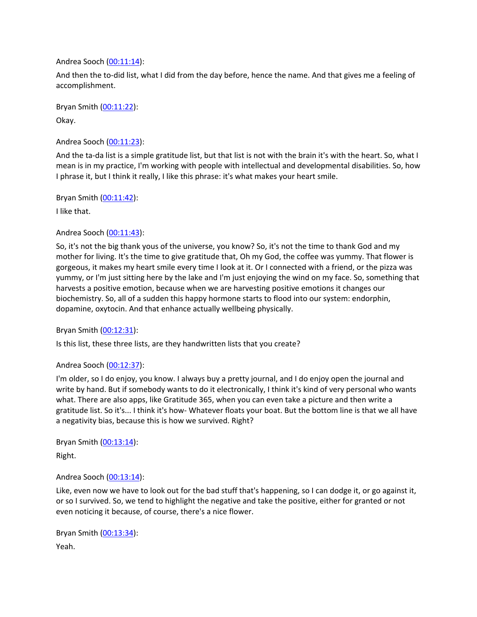#### Andrea Sooch ([00:11:14](https://www.temi.com/editor/t/qZonUaCVjD-xEijiohIoVOcEKbov8V3DvGdbALsa4pRw_8IzA7w3HncxSsraFyRZ29r0ly3IMZKFCOb90VK5zRCR_Mg?loadFrom=DocumentDeeplink&ts=674.99)):

And then the to-did list, what I did from the day before, hence the name. And that gives me a feeling of accomplishment.

Bryan Smith ([00:11:22](https://www.temi.com/editor/t/qZonUaCVjD-xEijiohIoVOcEKbov8V3DvGdbALsa4pRw_8IzA7w3HncxSsraFyRZ29r0ly3IMZKFCOb90VK5zRCR_Mg?loadFrom=DocumentDeeplink&ts=682.91)): Okay.

Andrea Sooch ([00:11:23](https://www.temi.com/editor/t/qZonUaCVjD-xEijiohIoVOcEKbov8V3DvGdbALsa4pRw_8IzA7w3HncxSsraFyRZ29r0ly3IMZKFCOb90VK5zRCR_Mg?loadFrom=DocumentDeeplink&ts=683.54)):

And the ta-da list is a simple gratitude list, but that list is not with the brain it's with the heart. So, what I mean is in my practice, I'm working with people with intellectual and developmental disabilities. So, how I phrase it, but I think it really, I like this phrase: it's what makes your heart smile.

Bryan Smith ([00:11:42](https://www.temi.com/editor/t/qZonUaCVjD-xEijiohIoVOcEKbov8V3DvGdbALsa4pRw_8IzA7w3HncxSsraFyRZ29r0ly3IMZKFCOb90VK5zRCR_Mg?loadFrom=DocumentDeeplink&ts=702.77)):

I like that.

# Andrea Sooch ([00:11:43](https://www.temi.com/editor/t/qZonUaCVjD-xEijiohIoVOcEKbov8V3DvGdbALsa4pRw_8IzA7w3HncxSsraFyRZ29r0ly3IMZKFCOb90VK5zRCR_Mg?loadFrom=DocumentDeeplink&ts=703.79)):

So, it's not the big thank yous of the universe, you know? So, it's not the time to thank God and my mother for living. It's the time to give gratitude that, Oh my God, the coffee was yummy. That flower is gorgeous, it makes my heart smile every time I look at it. Or I connected with a friend, or the pizza was yummy, or I'm just sitting here by the lake and I'm just enjoying the wind on my face. So, something that harvests a positive emotion, because when we are harvesting positive emotions it changes our biochemistry. So, all of a sudden this happy hormone starts to flood into our system: endorphin, dopamine, oxytocin. And that enhance actually wellbeing physically.

Bryan Smith ([00:12:31](https://www.temi.com/editor/t/qZonUaCVjD-xEijiohIoVOcEKbov8V3DvGdbALsa4pRw_8IzA7w3HncxSsraFyRZ29r0ly3IMZKFCOb90VK5zRCR_Mg?loadFrom=DocumentDeeplink&ts=751.11)):

Is this list, these three lists, are they handwritten lists that you create?

# Andrea Sooch ([00:12:37](https://www.temi.com/editor/t/qZonUaCVjD-xEijiohIoVOcEKbov8V3DvGdbALsa4pRw_8IzA7w3HncxSsraFyRZ29r0ly3IMZKFCOb90VK5zRCR_Mg?loadFrom=DocumentDeeplink&ts=757.56)):

I'm older, so I do enjoy, you know. I always buy a pretty journal, and I do enjoy open the journal and write by hand. But if somebody wants to do it electronically, I think it's kind of very personal who wants what. There are also apps, like Gratitude 365, when you can even take a picture and then write a gratitude list. So it's... I think it's how- Whatever floats your boat. But the bottom line is that we all have a negativity bias, because this is how we survived. Right?

Bryan Smith ([00:13:14](https://www.temi.com/editor/t/qZonUaCVjD-xEijiohIoVOcEKbov8V3DvGdbALsa4pRw_8IzA7w3HncxSsraFyRZ29r0ly3IMZKFCOb90VK5zRCR_Mg?loadFrom=DocumentDeeplink&ts=794.4)):

Right.

# Andrea Sooch ([00:13:14](https://www.temi.com/editor/t/qZonUaCVjD-xEijiohIoVOcEKbov8V3DvGdbALsa4pRw_8IzA7w3HncxSsraFyRZ29r0ly3IMZKFCOb90VK5zRCR_Mg?loadFrom=DocumentDeeplink&ts=794.62)):

Like, even now we have to look out for the bad stuff that's happening, so I can dodge it, or go against it, or so I survived. So, we tend to highlight the negative and take the positive, either for granted or not even noticing it because, of course, there's a nice flower.

Bryan Smith ([00:13:34](https://www.temi.com/editor/t/qZonUaCVjD-xEijiohIoVOcEKbov8V3DvGdbALsa4pRw_8IzA7w3HncxSsraFyRZ29r0ly3IMZKFCOb90VK5zRCR_Mg?loadFrom=DocumentDeeplink&ts=814.05)): Yeah.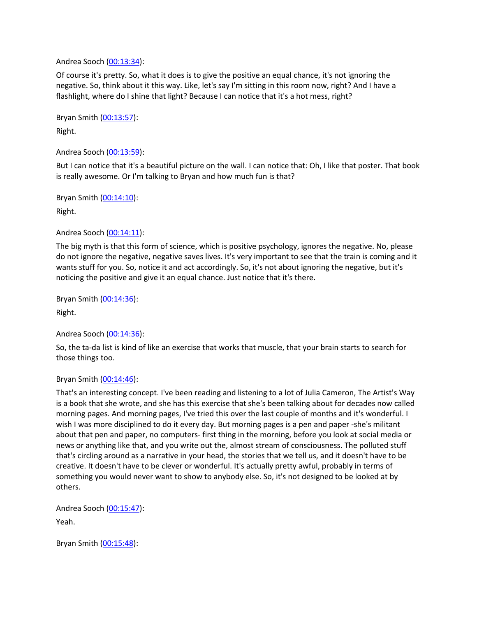Andrea Sooch ([00:13:34](https://www.temi.com/editor/t/qZonUaCVjD-xEijiohIoVOcEKbov8V3DvGdbALsa4pRw_8IzA7w3HncxSsraFyRZ29r0ly3IMZKFCOb90VK5zRCR_Mg?loadFrom=DocumentDeeplink&ts=814.44)):

Of course it's pretty. So, what it does is to give the positive an equal chance, it's not ignoring the negative. So, think about it this way. Like, let's say I'm sitting in this room now, right? And I have a flashlight, where do I shine that light? Because I can notice that it's a hot mess, right?

Bryan Smith ([00:13:57](https://www.temi.com/editor/t/qZonUaCVjD-xEijiohIoVOcEKbov8V3DvGdbALsa4pRw_8IzA7w3HncxSsraFyRZ29r0ly3IMZKFCOb90VK5zRCR_Mg?loadFrom=DocumentDeeplink&ts=837.39)): Right.

Andrea Sooch ([00:13:59](https://www.temi.com/editor/t/qZonUaCVjD-xEijiohIoVOcEKbov8V3DvGdbALsa4pRw_8IzA7w3HncxSsraFyRZ29r0ly3IMZKFCOb90VK5zRCR_Mg?loadFrom=DocumentDeeplink&ts=839.01)):

But I can notice that it's a beautiful picture on the wall. I can notice that: Oh, I like that poster. That book is really awesome. Or I'm talking to Bryan and how much fun is that?

Bryan Smith ([00:14:10](https://www.temi.com/editor/t/qZonUaCVjD-xEijiohIoVOcEKbov8V3DvGdbALsa4pRw_8IzA7w3HncxSsraFyRZ29r0ly3IMZKFCOb90VK5zRCR_Mg?loadFrom=DocumentDeeplink&ts=850.89)):

Right.

#### Andrea Sooch ([00:14:11](https://www.temi.com/editor/t/qZonUaCVjD-xEijiohIoVOcEKbov8V3DvGdbALsa4pRw_8IzA7w3HncxSsraFyRZ29r0ly3IMZKFCOb90VK5zRCR_Mg?loadFrom=DocumentDeeplink&ts=851.61)):

The big myth is that this form of science, which is positive psychology, ignores the negative. No, please do not ignore the negative, negative saves lives. It's very important to see that the train is coming and it wants stuff for you. So, notice it and act accordingly. So, it's not about ignoring the negative, but it's noticing the positive and give it an equal chance. Just notice that it's there.

Bryan Smith ([00:14:36](https://www.temi.com/editor/t/qZonUaCVjD-xEijiohIoVOcEKbov8V3DvGdbALsa4pRw_8IzA7w3HncxSsraFyRZ29r0ly3IMZKFCOb90VK5zRCR_Mg?loadFrom=DocumentDeeplink&ts=876.031)):

Right.

Andrea Sooch ([00:14:36](https://www.temi.com/editor/t/qZonUaCVjD-xEijiohIoVOcEKbov8V3DvGdbALsa4pRw_8IzA7w3HncxSsraFyRZ29r0ly3IMZKFCOb90VK5zRCR_Mg?loadFrom=DocumentDeeplink&ts=876.031)):

So, the ta-da list is kind of like an exercise that works that muscle, that your brain starts to search for those things too.

#### Bryan Smith ([00:14:46](https://www.temi.com/editor/t/qZonUaCVjD-xEijiohIoVOcEKbov8V3DvGdbALsa4pRw_8IzA7w3HncxSsraFyRZ29r0ly3IMZKFCOb90VK5zRCR_Mg?loadFrom=DocumentDeeplink&ts=886.83)):

That's an interesting concept. I've been reading and listening to a lot of Julia Cameron, The Artist's Way is a book that she wrote, and she has this exercise that she's been talking about for decades now called morning pages. And morning pages, I've tried this over the last couple of months and it's wonderful. I wish I was more disciplined to do it every day. But morning pages is a pen and paper -she's militant about that pen and paper, no computers- first thing in the morning, before you look at social media or news or anything like that, and you write out the, almost stream of consciousness. The polluted stuff that's circling around as a narrative in your head, the stories that we tell us, and it doesn't have to be creative. It doesn't have to be clever or wonderful. It's actually pretty awful, probably in terms of something you would never want to show to anybody else. So, it's not designed to be looked at by others.

Andrea Sooch ([00:15:47](https://www.temi.com/editor/t/qZonUaCVjD-xEijiohIoVOcEKbov8V3DvGdbALsa4pRw_8IzA7w3HncxSsraFyRZ29r0ly3IMZKFCOb90VK5zRCR_Mg?loadFrom=DocumentDeeplink&ts=947.271)): Yeah.

Bryan Smith ([00:15:48](https://www.temi.com/editor/t/qZonUaCVjD-xEijiohIoVOcEKbov8V3DvGdbALsa4pRw_8IzA7w3HncxSsraFyRZ29r0ly3IMZKFCOb90VK5zRCR_Mg?loadFrom=DocumentDeeplink&ts=948.53)):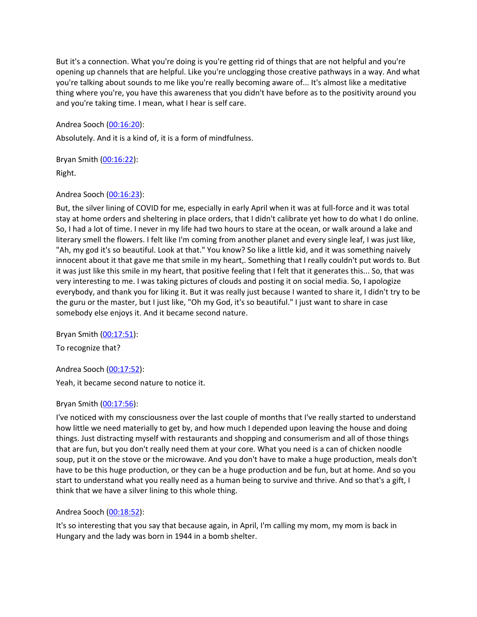But it's a connection. What you're doing is you're getting rid of things that are not helpful and you're opening up channels that are helpful. Like you're unclogging those creative pathways in a way. And what you're talking about sounds to me like you're really becoming aware of... It's almost like a meditative thing where you're, you have this awareness that you didn't have before as to the positivity around you and you're taking time. I mean, what I hear is self care.

Andrea Sooch ([00:16:20](https://www.temi.com/editor/t/qZonUaCVjD-xEijiohIoVOcEKbov8V3DvGdbALsa4pRw_8IzA7w3HncxSsraFyRZ29r0ly3IMZKFCOb90VK5zRCR_Mg?loadFrom=DocumentDeeplink&ts=980.2)):

Absolutely. And it is a kind of, it is a form of mindfulness.

Bryan Smith ([00:16:22](https://www.temi.com/editor/t/qZonUaCVjD-xEijiohIoVOcEKbov8V3DvGdbALsa4pRw_8IzA7w3HncxSsraFyRZ29r0ly3IMZKFCOb90VK5zRCR_Mg?loadFrom=DocumentDeeplink&ts=982.931)):

Right.

# Andrea Sooch ([00:16:23](https://www.temi.com/editor/t/qZonUaCVjD-xEijiohIoVOcEKbov8V3DvGdbALsa4pRw_8IzA7w3HncxSsraFyRZ29r0ly3IMZKFCOb90VK5zRCR_Mg?loadFrom=DocumentDeeplink&ts=983.081)):

But, the silver lining of COVID for me, especially in early April when it was at full-force and it was total stay at home orders and sheltering in place orders, that I didn't calibrate yet how to do what I do online. So, I had a lot of time. I never in my life had two hours to stare at the ocean, or walk around a lake and literary smell the flowers. I felt like I'm coming from another planet and every single leaf, I was just like, "Ah, my god it's so beautiful. Look at that." You know? So like a little kid, and it was something naively innocent about it that gave me that smile in my heart,. Something that I really couldn't put words to. But it was just like this smile in my heart, that positive feeling that I felt that it generates this... So, that was very interesting to me. I was taking pictures of clouds and posting it on social media. So, I apologize everybody, and thank you for liking it. But it was really just because I wanted to share it, I didn't try to be the guru or the master, but I just like, "Oh my God, it's so beautiful." I just want to share in case somebody else enjoys it. And it became second nature.

Bryan Smith ([00:17:51](https://www.temi.com/editor/t/qZonUaCVjD-xEijiohIoVOcEKbov8V3DvGdbALsa4pRw_8IzA7w3HncxSsraFyRZ29r0ly3IMZKFCOb90VK5zRCR_Mg?loadFrom=DocumentDeeplink&ts=1071.33)):

To recognize that?

Andrea Sooch ([00:17:52](https://www.temi.com/editor/t/qZonUaCVjD-xEijiohIoVOcEKbov8V3DvGdbALsa4pRw_8IzA7w3HncxSsraFyRZ29r0ly3IMZKFCOb90VK5zRCR_Mg?loadFrom=DocumentDeeplink&ts=1072.111)):

Yeah, it became second nature to notice it.

# Bryan Smith ([00:17:56](https://www.temi.com/editor/t/qZonUaCVjD-xEijiohIoVOcEKbov8V3DvGdbALsa4pRw_8IzA7w3HncxSsraFyRZ29r0ly3IMZKFCOb90VK5zRCR_Mg?loadFrom=DocumentDeeplink&ts=1076.84)):

I've noticed with my consciousness over the last couple of months that I've really started to understand how little we need materially to get by, and how much I depended upon leaving the house and doing things. Just distracting myself with restaurants and shopping and consumerism and all of those things that are fun, but you don't really need them at your core. What you need is a can of chicken noodle soup, put it on the stove or the microwave. And you don't have to make a huge production, meals don't have to be this huge production, or they can be a huge production and be fun, but at home. And so you start to understand what you really need as a human being to survive and thrive. And so that's a gift, I think that we have a silver lining to this whole thing.

# Andrea Sooch ([00:18:52](https://www.temi.com/editor/t/qZonUaCVjD-xEijiohIoVOcEKbov8V3DvGdbALsa4pRw_8IzA7w3HncxSsraFyRZ29r0ly3IMZKFCOb90VK5zRCR_Mg?loadFrom=DocumentDeeplink&ts=1132.01)):

It's so interesting that you say that because again, in April, I'm calling my mom, my mom is back in Hungary and the lady was born in 1944 in a bomb shelter.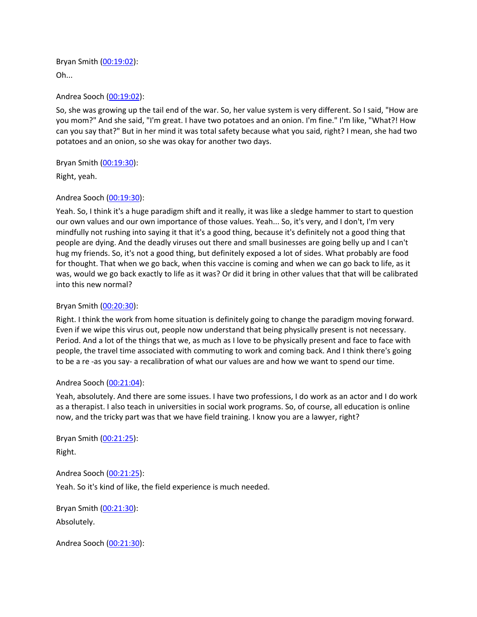Bryan Smith ([00:19:02](https://www.temi.com/editor/t/qZonUaCVjD-xEijiohIoVOcEKbov8V3DvGdbALsa4pRw_8IzA7w3HncxSsraFyRZ29r0ly3IMZKFCOb90VK5zRCR_Mg?loadFrom=DocumentDeeplink&ts=1142.84)): Oh...

Andrea Sooch ([00:19:02](https://www.temi.com/editor/t/qZonUaCVjD-xEijiohIoVOcEKbov8V3DvGdbALsa4pRw_8IzA7w3HncxSsraFyRZ29r0ly3IMZKFCOb90VK5zRCR_Mg?loadFrom=DocumentDeeplink&ts=1142.84)):

So, she was growing up the tail end of the war. So, her value system is very different. So I said, "How are you mom?" And she said, "I'm great. I have two potatoes and an onion. I'm fine." I'm like, "What?! How can you say that?" But in her mind it was total safety because what you said, right? I mean, she had two potatoes and an onion, so she was okay for another two days.

Bryan Smith ([00:19:30](https://www.temi.com/editor/t/qZonUaCVjD-xEijiohIoVOcEKbov8V3DvGdbALsa4pRw_8IzA7w3HncxSsraFyRZ29r0ly3IMZKFCOb90VK5zRCR_Mg?loadFrom=DocumentDeeplink&ts=1170.23)):

Right, yeah.

# Andrea Sooch ([00:19:30](https://www.temi.com/editor/t/qZonUaCVjD-xEijiohIoVOcEKbov8V3DvGdbALsa4pRw_8IzA7w3HncxSsraFyRZ29r0ly3IMZKFCOb90VK5zRCR_Mg?loadFrom=DocumentDeeplink&ts=1170.62)):

Yeah. So, I think it's a huge paradigm shift and it really, it was like a sledge hammer to start to question our own values and our own importance of those values. Yeah... So, it's very, and I don't, I'm very mindfully not rushing into saying it that it's a good thing, because it's definitely not a good thing that people are dying. And the deadly viruses out there and small businesses are going belly up and I can't hug my friends. So, it's not a good thing, but definitely exposed a lot of sides. What probably are food for thought. That when we go back, when this vaccine is coming and when we can go back to life, as it was, would we go back exactly to life as it was? Or did it bring in other values that that will be calibrated into this new normal?

#### Bryan Smith ([00:20:30](https://www.temi.com/editor/t/qZonUaCVjD-xEijiohIoVOcEKbov8V3DvGdbALsa4pRw_8IzA7w3HncxSsraFyRZ29r0ly3IMZKFCOb90VK5zRCR_Mg?loadFrom=DocumentDeeplink&ts=1230.89)):

Right. I think the work from home situation is definitely going to change the paradigm moving forward. Even if we wipe this virus out, people now understand that being physically present is not necessary. Period. And a lot of the things that we, as much as I love to be physically present and face to face with people, the travel time associated with commuting to work and coming back. And I think there's going to be a re -as you say- a recalibration of what our values are and how we want to spend our time.

#### Andrea Sooch ([00:21:04](https://www.temi.com/editor/t/qZonUaCVjD-xEijiohIoVOcEKbov8V3DvGdbALsa4pRw_8IzA7w3HncxSsraFyRZ29r0ly3IMZKFCOb90VK5zRCR_Mg?loadFrom=DocumentDeeplink&ts=1264.53)):

Yeah, absolutely. And there are some issues. I have two professions, I do work as an actor and I do work as a therapist. I also teach in universities in social work programs. So, of course, all education is online now, and the tricky part was that we have field training. I know you are a lawyer, right?

Bryan Smith ([00:21:25](https://www.temi.com/editor/t/qZonUaCVjD-xEijiohIoVOcEKbov8V3DvGdbALsa4pRw_8IzA7w3HncxSsraFyRZ29r0ly3IMZKFCOb90VK5zRCR_Mg?loadFrom=DocumentDeeplink&ts=1285.471)):

Right.

Andrea Sooch ([00:21:25](https://www.temi.com/editor/t/qZonUaCVjD-xEijiohIoVOcEKbov8V3DvGdbALsa4pRw_8IzA7w3HncxSsraFyRZ29r0ly3IMZKFCOb90VK5zRCR_Mg?loadFrom=DocumentDeeplink&ts=1285.471)): Yeah. So it's kind of like, the field experience is much needed.

Bryan Smith ([00:21:30](https://www.temi.com/editor/t/qZonUaCVjD-xEijiohIoVOcEKbov8V3DvGdbALsa4pRw_8IzA7w3HncxSsraFyRZ29r0ly3IMZKFCOb90VK5zRCR_Mg?loadFrom=DocumentDeeplink&ts=1290.241)): Absolutely.

Andrea Sooch ([00:21:30](https://www.temi.com/editor/t/qZonUaCVjD-xEijiohIoVOcEKbov8V3DvGdbALsa4pRw_8IzA7w3HncxSsraFyRZ29r0ly3IMZKFCOb90VK5zRCR_Mg?loadFrom=DocumentDeeplink&ts=1290.541)):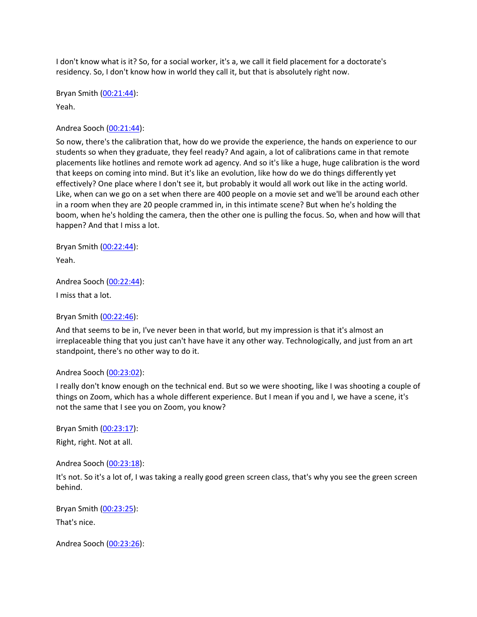I don't know what is it? So, for a social worker, it's a, we call it field placement for a doctorate's residency. So, I don't know how in world they call it, but that is absolutely right now.

Bryan Smith ([00:21:44](https://www.temi.com/editor/t/qZonUaCVjD-xEijiohIoVOcEKbov8V3DvGdbALsa4pRw_8IzA7w3HncxSsraFyRZ29r0ly3IMZKFCOb90VK5zRCR_Mg?loadFrom=DocumentDeeplink&ts=1304.16)): Yeah.

Andrea Sooch ([00:21:44](https://www.temi.com/editor/t/qZonUaCVjD-xEijiohIoVOcEKbov8V3DvGdbALsa4pRw_8IzA7w3HncxSsraFyRZ29r0ly3IMZKFCOb90VK5zRCR_Mg?loadFrom=DocumentDeeplink&ts=1304.73)):

So now, there's the calibration that, how do we provide the experience, the hands on experience to our students so when they graduate, they feel ready? And again, a lot of calibrations came in that remote placements like hotlines and remote work ad agency. And so it's like a huge, huge calibration is the word that keeps on coming into mind. But it's like an evolution, like how do we do things differently yet effectively? One place where I don't see it, but probably it would all work out like in the acting world. Like, when can we go on a set when there are 400 people on a movie set and we'll be around each other in a room when they are 20 people crammed in, in this intimate scene? But when he's holding the boom, when he's holding the camera, then the other one is pulling the focus. So, when and how will that happen? And that I miss a lot.

Bryan Smith ([00:22:44](https://www.temi.com/editor/t/qZonUaCVjD-xEijiohIoVOcEKbov8V3DvGdbALsa4pRw_8IzA7w3HncxSsraFyRZ29r0ly3IMZKFCOb90VK5zRCR_Mg?loadFrom=DocumentDeeplink&ts=1364.28)):

Yeah.

Andrea Sooch ([00:22:44](https://www.temi.com/editor/t/qZonUaCVjD-xEijiohIoVOcEKbov8V3DvGdbALsa4pRw_8IzA7w3HncxSsraFyRZ29r0ly3IMZKFCOb90VK5zRCR_Mg?loadFrom=DocumentDeeplink&ts=1364.91)): I miss that a lot.

Bryan Smith ([00:22:46](https://www.temi.com/editor/t/qZonUaCVjD-xEijiohIoVOcEKbov8V3DvGdbALsa4pRw_8IzA7w3HncxSsraFyRZ29r0ly3IMZKFCOb90VK5zRCR_Mg?loadFrom=DocumentDeeplink&ts=1366.95)):

And that seems to be in, I've never been in that world, but my impression is that it's almost an irreplaceable thing that you just can't have have it any other way. Technologically, and just from an art standpoint, there's no other way to do it.

#### Andrea Sooch ([00:23:02](https://www.temi.com/editor/t/qZonUaCVjD-xEijiohIoVOcEKbov8V3DvGdbALsa4pRw_8IzA7w3HncxSsraFyRZ29r0ly3IMZKFCOb90VK5zRCR_Mg?loadFrom=DocumentDeeplink&ts=1382.94)):

I really don't know enough on the technical end. But so we were shooting, like I was shooting a couple of things on Zoom, which has a whole different experience. But I mean if you and I, we have a scene, it's not the same that I see you on Zoom, you know?

Bryan Smith ([00:23:17](https://www.temi.com/editor/t/qZonUaCVjD-xEijiohIoVOcEKbov8V3DvGdbALsa4pRw_8IzA7w3HncxSsraFyRZ29r0ly3IMZKFCOb90VK5zRCR_Mg?loadFrom=DocumentDeeplink&ts=1397.39)): Right, right. Not at all.

Andrea Sooch ([00:23:18](https://www.temi.com/editor/t/qZonUaCVjD-xEijiohIoVOcEKbov8V3DvGdbALsa4pRw_8IzA7w3HncxSsraFyRZ29r0ly3IMZKFCOb90VK5zRCR_Mg?loadFrom=DocumentDeeplink&ts=1398.21)):

It's not. So it's a lot of, I was taking a really good green screen class, that's why you see the green screen behind.

Bryan Smith ([00:23:25](https://www.temi.com/editor/t/qZonUaCVjD-xEijiohIoVOcEKbov8V3DvGdbALsa4pRw_8IzA7w3HncxSsraFyRZ29r0ly3IMZKFCOb90VK5zRCR_Mg?loadFrom=DocumentDeeplink&ts=1405.44)):

That's nice.

Andrea Sooch ([00:23:26](https://www.temi.com/editor/t/qZonUaCVjD-xEijiohIoVOcEKbov8V3DvGdbALsa4pRw_8IzA7w3HncxSsraFyRZ29r0ly3IMZKFCOb90VK5zRCR_Mg?loadFrom=DocumentDeeplink&ts=1406.61)):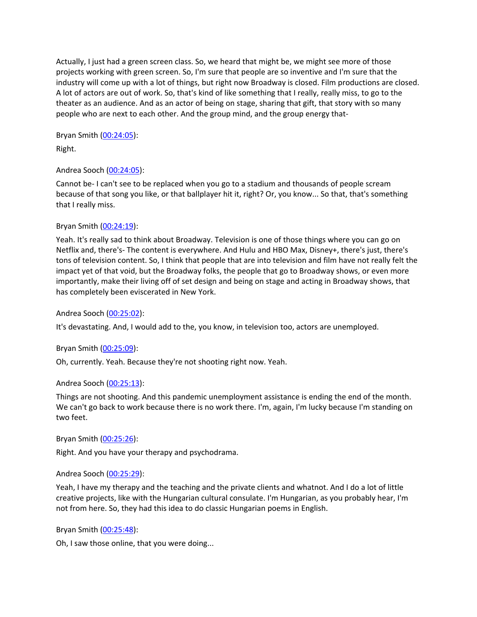Actually, I just had a green screen class. So, we heard that might be, we might see more of those projects working with green screen. So, I'm sure that people are so inventive and I'm sure that the industry will come up with a lot of things, but right now Broadway is closed. Film productions are closed. A lot of actors are out of work. So, that's kind of like something that I really, really miss, to go to the theater as an audience. And as an actor of being on stage, sharing that gift, that story with so many people who are next to each other. And the group mind, and the group energy that-

Bryan Smith ([00:24:05](https://www.temi.com/editor/t/qZonUaCVjD-xEijiohIoVOcEKbov8V3DvGdbALsa4pRw_8IzA7w3HncxSsraFyRZ29r0ly3IMZKFCOb90VK5zRCR_Mg?loadFrom=DocumentDeeplink&ts=1445.51)):

Right.

# Andrea Sooch ([00:24:05](https://www.temi.com/editor/t/qZonUaCVjD-xEijiohIoVOcEKbov8V3DvGdbALsa4pRw_8IzA7w3HncxSsraFyRZ29r0ly3IMZKFCOb90VK5zRCR_Mg?loadFrom=DocumentDeeplink&ts=1445.751)):

Cannot be- I can't see to be replaced when you go to a stadium and thousands of people scream because of that song you like, or that ballplayer hit it, right? Or, you know... So that, that's something that I really miss.

# Bryan Smith ([00:24:19](https://www.temi.com/editor/t/qZonUaCVjD-xEijiohIoVOcEKbov8V3DvGdbALsa4pRw_8IzA7w3HncxSsraFyRZ29r0ly3IMZKFCOb90VK5zRCR_Mg?loadFrom=DocumentDeeplink&ts=1459.99)):

Yeah. It's really sad to think about Broadway. Television is one of those things where you can go on Netflix and, there's- The content is everywhere. And Hulu and HBO Max, Disney+, there's just, there's tons of television content. So, I think that people that are into television and film have not really felt the impact yet of that void, but the Broadway folks, the people that go to Broadway shows, or even more importantly, make their living off of set design and being on stage and acting in Broadway shows, that has completely been eviscerated in New York.

# Andrea Sooch ([00:25:02](https://www.temi.com/editor/t/qZonUaCVjD-xEijiohIoVOcEKbov8V3DvGdbALsa4pRw_8IzA7w3HncxSsraFyRZ29r0ly3IMZKFCOb90VK5zRCR_Mg?loadFrom=DocumentDeeplink&ts=1502.68)):

It's devastating. And, I would add to the, you know, in television too, actors are unemployed.

# Bryan Smith ([00:25:09](https://www.temi.com/editor/t/qZonUaCVjD-xEijiohIoVOcEKbov8V3DvGdbALsa4pRw_8IzA7w3HncxSsraFyRZ29r0ly3IMZKFCOb90VK5zRCR_Mg?loadFrom=DocumentDeeplink&ts=1509.7)):

Oh, currently. Yeah. Because they're not shooting right now. Yeah.

# Andrea Sooch ([00:25:13](https://www.temi.com/editor/t/qZonUaCVjD-xEijiohIoVOcEKbov8V3DvGdbALsa4pRw_8IzA7w3HncxSsraFyRZ29r0ly3IMZKFCOb90VK5zRCR_Mg?loadFrom=DocumentDeeplink&ts=1513.9)):

Things are not shooting. And this pandemic unemployment assistance is ending the end of the month. We can't go back to work because there is no work there. I'm, again, I'm lucky because I'm standing on two feet.

Bryan Smith ([00:25:26](https://www.temi.com/editor/t/qZonUaCVjD-xEijiohIoVOcEKbov8V3DvGdbALsa4pRw_8IzA7w3HncxSsraFyRZ29r0ly3IMZKFCOb90VK5zRCR_Mg?loadFrom=DocumentDeeplink&ts=1526.65)):

Right. And you have your therapy and psychodrama.

# Andrea Sooch ([00:25:29](https://www.temi.com/editor/t/qZonUaCVjD-xEijiohIoVOcEKbov8V3DvGdbALsa4pRw_8IzA7w3HncxSsraFyRZ29r0ly3IMZKFCOb90VK5zRCR_Mg?loadFrom=DocumentDeeplink&ts=1529.68)):

Yeah, I have my therapy and the teaching and the private clients and whatnot. And I do a lot of little creative projects, like with the Hungarian cultural consulate. I'm Hungarian, as you probably hear, I'm not from here. So, they had this idea to do classic Hungarian poems in English.

# Bryan Smith ([00:25:48](https://www.temi.com/editor/t/qZonUaCVjD-xEijiohIoVOcEKbov8V3DvGdbALsa4pRw_8IzA7w3HncxSsraFyRZ29r0ly3IMZKFCOb90VK5zRCR_Mg?loadFrom=DocumentDeeplink&ts=1548.52)):

Oh, I saw those online, that you were doing...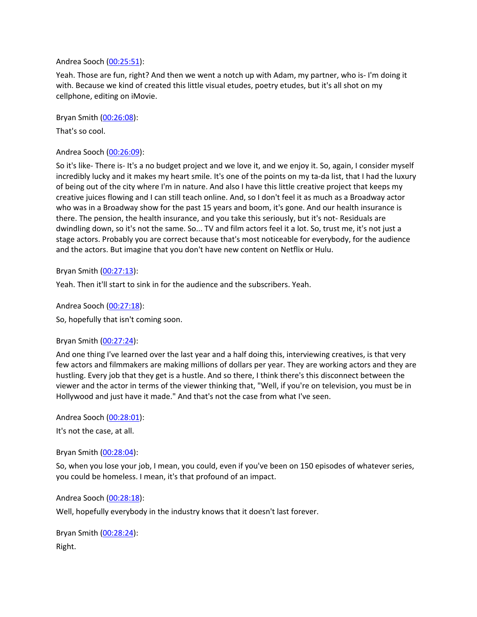#### Andrea Sooch ([00:25:51](https://www.temi.com/editor/t/qZonUaCVjD-xEijiohIoVOcEKbov8V3DvGdbALsa4pRw_8IzA7w3HncxSsraFyRZ29r0ly3IMZKFCOb90VK5zRCR_Mg?loadFrom=DocumentDeeplink&ts=1551.221)):

Yeah. Those are fun, right? And then we went a notch up with Adam, my partner, who is- I'm doing it with. Because we kind of created this little visual etudes, poetry etudes, but it's all shot on my cellphone, editing on iMovie.

Bryan Smith ([00:26:08](https://www.temi.com/editor/t/qZonUaCVjD-xEijiohIoVOcEKbov8V3DvGdbALsa4pRw_8IzA7w3HncxSsraFyRZ29r0ly3IMZKFCOb90VK5zRCR_Mg?loadFrom=DocumentDeeplink&ts=1568.17)):

That's so cool.

# Andrea Sooch ([00:26:09](https://www.temi.com/editor/t/qZonUaCVjD-xEijiohIoVOcEKbov8V3DvGdbALsa4pRw_8IzA7w3HncxSsraFyRZ29r0ly3IMZKFCOb90VK5zRCR_Mg?loadFrom=DocumentDeeplink&ts=1569.43)):

So it's like- There is- It's a no budget project and we love it, and we enjoy it. So, again, I consider myself incredibly lucky and it makes my heart smile. It's one of the points on my ta-da list, that I had the luxury of being out of the city where I'm in nature. And also I have this little creative project that keeps my creative juices flowing and I can still teach online. And, so I don't feel it as much as a Broadway actor who was in a Broadway show for the past 15 years and boom, it's gone. And our health insurance is there. The pension, the health insurance, and you take this seriously, but it's not- Residuals are dwindling down, so it's not the same. So... TV and film actors feel it a lot. So, trust me, it's not just a stage actors. Probably you are correct because that's most noticeable for everybody, for the audience and the actors. But imagine that you don't have new content on Netflix or Hulu.

Bryan Smith ([00:27:13](https://www.temi.com/editor/t/qZonUaCVjD-xEijiohIoVOcEKbov8V3DvGdbALsa4pRw_8IzA7w3HncxSsraFyRZ29r0ly3IMZKFCOb90VK5zRCR_Mg?loadFrom=DocumentDeeplink&ts=1633.88)):

Yeah. Then it'll start to sink in for the audience and the subscribers. Yeah.

Andrea Sooch ([00:27:18](https://www.temi.com/editor/t/qZonUaCVjD-xEijiohIoVOcEKbov8V3DvGdbALsa4pRw_8IzA7w3HncxSsraFyRZ29r0ly3IMZKFCOb90VK5zRCR_Mg?loadFrom=DocumentDeeplink&ts=1638.71)):

So, hopefully that isn't coming soon.

# Bryan Smith ([00:27:24](https://www.temi.com/editor/t/qZonUaCVjD-xEijiohIoVOcEKbov8V3DvGdbALsa4pRw_8IzA7w3HncxSsraFyRZ29r0ly3IMZKFCOb90VK5zRCR_Mg?loadFrom=DocumentDeeplink&ts=1644.53)):

And one thing I've learned over the last year and a half doing this, interviewing creatives, is that very few actors and filmmakers are making millions of dollars per year. They are working actors and they are hustling. Every job that they get is a hustle. And so there, I think there's this disconnect between the viewer and the actor in terms of the viewer thinking that, "Well, if you're on television, you must be in Hollywood and just have it made." And that's not the case from what I've seen.

Andrea Sooch ([00:28:01](https://www.temi.com/editor/t/qZonUaCVjD-xEijiohIoVOcEKbov8V3DvGdbALsa4pRw_8IzA7w3HncxSsraFyRZ29r0ly3IMZKFCOb90VK5zRCR_Mg?loadFrom=DocumentDeeplink&ts=1681.85)):

It's not the case, at all.

Bryan Smith ([00:28:04](https://www.temi.com/editor/t/qZonUaCVjD-xEijiohIoVOcEKbov8V3DvGdbALsa4pRw_8IzA7w3HncxSsraFyRZ29r0ly3IMZKFCOb90VK5zRCR_Mg?loadFrom=DocumentDeeplink&ts=1684.13)):

So, when you lose your job, I mean, you could, even if you've been on 150 episodes of whatever series, you could be homeless. I mean, it's that profound of an impact.

Andrea Sooch ([00:28:18](https://www.temi.com/editor/t/qZonUaCVjD-xEijiohIoVOcEKbov8V3DvGdbALsa4pRw_8IzA7w3HncxSsraFyRZ29r0ly3IMZKFCOb90VK5zRCR_Mg?loadFrom=DocumentDeeplink&ts=1698.8)):

Well, hopefully everybody in the industry knows that it doesn't last forever.

Bryan Smith ([00:28:24](https://www.temi.com/editor/t/qZonUaCVjD-xEijiohIoVOcEKbov8V3DvGdbALsa4pRw_8IzA7w3HncxSsraFyRZ29r0ly3IMZKFCOb90VK5zRCR_Mg?loadFrom=DocumentDeeplink&ts=1704.47)): Right.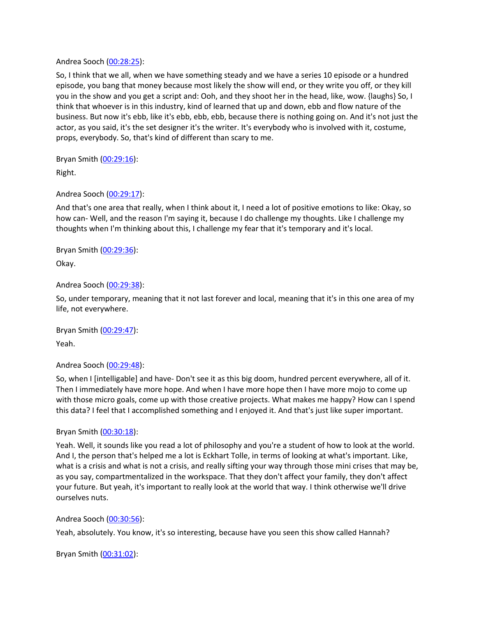Andrea Sooch ([00:28:25](https://www.temi.com/editor/t/qZonUaCVjD-xEijiohIoVOcEKbov8V3DvGdbALsa4pRw_8IzA7w3HncxSsraFyRZ29r0ly3IMZKFCOb90VK5zRCR_Mg?loadFrom=DocumentDeeplink&ts=1705.07)):

So, I think that we all, when we have something steady and we have a series 10 episode or a hundred episode, you bang that money because most likely the show will end, or they write you off, or they kill you in the show and you get a script and: Ooh, and they shoot her in the head, like, wow. {laughs} So, I think that whoever is in this industry, kind of learned that up and down, ebb and flow nature of the business. But now it's ebb, like it's ebb, ebb, ebb, because there is nothing going on. And it's not just the actor, as you said, it's the set designer it's the writer. It's everybody who is involved with it, costume, props, everybody. So, that's kind of different than scary to me.

Bryan Smith ([00:29:16](https://www.temi.com/editor/t/qZonUaCVjD-xEijiohIoVOcEKbov8V3DvGdbALsa4pRw_8IzA7w3HncxSsraFyRZ29r0ly3IMZKFCOb90VK5zRCR_Mg?loadFrom=DocumentDeeplink&ts=1756.4)):

Right.

# Andrea Sooch ([00:29:17](https://www.temi.com/editor/t/qZonUaCVjD-xEijiohIoVOcEKbov8V3DvGdbALsa4pRw_8IzA7w3HncxSsraFyRZ29r0ly3IMZKFCOb90VK5zRCR_Mg?loadFrom=DocumentDeeplink&ts=1757.09)):

And that's one area that really, when I think about it, I need a lot of positive emotions to like: Okay, so how can- Well, and the reason I'm saying it, because I do challenge my thoughts. Like I challenge my thoughts when I'm thinking about this, I challenge my fear that it's temporary and it's local.

Bryan Smith ([00:29:36](https://www.temi.com/editor/t/qZonUaCVjD-xEijiohIoVOcEKbov8V3DvGdbALsa4pRw_8IzA7w3HncxSsraFyRZ29r0ly3IMZKFCOb90VK5zRCR_Mg?loadFrom=DocumentDeeplink&ts=1776.711)):

Okay.

Andrea Sooch ([00:29:38](https://www.temi.com/editor/t/qZonUaCVjD-xEijiohIoVOcEKbov8V3DvGdbALsa4pRw_8IzA7w3HncxSsraFyRZ29r0ly3IMZKFCOb90VK5zRCR_Mg?loadFrom=DocumentDeeplink&ts=1778.57)):

So, under temporary, meaning that it not last forever and local, meaning that it's in this one area of my life, not everywhere.

Bryan Smith ([00:29:47](https://www.temi.com/editor/t/qZonUaCVjD-xEijiohIoVOcEKbov8V3DvGdbALsa4pRw_8IzA7w3HncxSsraFyRZ29r0ly3IMZKFCOb90VK5zRCR_Mg?loadFrom=DocumentDeeplink&ts=1787.71)): Yeah.

# Andrea Sooch ([00:29:48](https://www.temi.com/editor/t/qZonUaCVjD-xEijiohIoVOcEKbov8V3DvGdbALsa4pRw_8IzA7w3HncxSsraFyRZ29r0ly3IMZKFCOb90VK5zRCR_Mg?loadFrom=DocumentDeeplink&ts=1788.28)):

So, when I [intelligable] and have- Don't see it as this big doom, hundred percent everywhere, all of it. Then I immediately have more hope. And when I have more hope then I have more mojo to come up with those micro goals, come up with those creative projects. What makes me happy? How can I spend this data? I feel that I accomplished something and I enjoyed it. And that's just like super important.

# Bryan Smith ([00:30:18](https://www.temi.com/editor/t/qZonUaCVjD-xEijiohIoVOcEKbov8V3DvGdbALsa4pRw_8IzA7w3HncxSsraFyRZ29r0ly3IMZKFCOb90VK5zRCR_Mg?loadFrom=DocumentDeeplink&ts=1818.66)):

Yeah. Well, it sounds like you read a lot of philosophy and you're a student of how to look at the world. And I, the person that's helped me a lot is Eckhart Tolle, in terms of looking at what's important. Like, what is a crisis and what is not a crisis, and really sifting your way through those mini crises that may be, as you say, compartmentalized in the workspace. That they don't affect your family, they don't affect your future. But yeah, it's important to really look at the world that way. I think otherwise we'll drive ourselves nuts.

# Andrea Sooch ([00:30:56](https://www.temi.com/editor/t/qZonUaCVjD-xEijiohIoVOcEKbov8V3DvGdbALsa4pRw_8IzA7w3HncxSsraFyRZ29r0ly3IMZKFCOb90VK5zRCR_Mg?loadFrom=DocumentDeeplink&ts=1856.97)):

Yeah, absolutely. You know, it's so interesting, because have you seen this show called Hannah?

Bryan Smith ([00:31:02](https://www.temi.com/editor/t/qZonUaCVjD-xEijiohIoVOcEKbov8V3DvGdbALsa4pRw_8IzA7w3HncxSsraFyRZ29r0ly3IMZKFCOb90VK5zRCR_Mg?loadFrom=DocumentDeeplink&ts=1862.16)):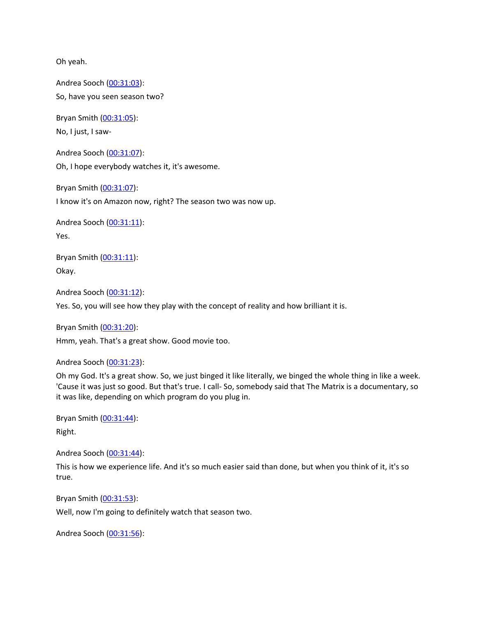Oh yeah.

Andrea Sooch ([00:31:03](https://www.temi.com/editor/t/qZonUaCVjD-xEijiohIoVOcEKbov8V3DvGdbALsa4pRw_8IzA7w3HncxSsraFyRZ29r0ly3IMZKFCOb90VK5zRCR_Mg?loadFrom=DocumentDeeplink&ts=1863.42)): So, have you seen season two?

Bryan Smith ([00:31:05](https://www.temi.com/editor/t/qZonUaCVjD-xEijiohIoVOcEKbov8V3DvGdbALsa4pRw_8IzA7w3HncxSsraFyRZ29r0ly3IMZKFCOb90VK5zRCR_Mg?loadFrom=DocumentDeeplink&ts=1865.251)):

No, I just, I saw-

Andrea Sooch ([00:31:07](https://www.temi.com/editor/t/qZonUaCVjD-xEijiohIoVOcEKbov8V3DvGdbALsa4pRw_8IzA7w3HncxSsraFyRZ29r0ly3IMZKFCOb90VK5zRCR_Mg?loadFrom=DocumentDeeplink&ts=1867.8)): Oh, I hope everybody watches it, it's awesome.

Bryan Smith ([00:31:07](https://www.temi.com/editor/t/qZonUaCVjD-xEijiohIoVOcEKbov8V3DvGdbALsa4pRw_8IzA7w3HncxSsraFyRZ29r0ly3IMZKFCOb90VK5zRCR_Mg?loadFrom=DocumentDeeplink&ts=1867.84)):

I know it's on Amazon now, right? The season two was now up.

Andrea Sooch ([00:31:11](https://www.temi.com/editor/t/qZonUaCVjD-xEijiohIoVOcEKbov8V3DvGdbALsa4pRw_8IzA7w3HncxSsraFyRZ29r0ly3IMZKFCOb90VK5zRCR_Mg?loadFrom=DocumentDeeplink&ts=1871.55)): Yes.

Bryan Smith ([00:31:11](https://www.temi.com/editor/t/qZonUaCVjD-xEijiohIoVOcEKbov8V3DvGdbALsa4pRw_8IzA7w3HncxSsraFyRZ29r0ly3IMZKFCOb90VK5zRCR_Mg?loadFrom=DocumentDeeplink&ts=1871.55)): Okay.

Andrea Sooch ([00:31:12](https://www.temi.com/editor/t/qZonUaCVjD-xEijiohIoVOcEKbov8V3DvGdbALsa4pRw_8IzA7w3HncxSsraFyRZ29r0ly3IMZKFCOb90VK5zRCR_Mg?loadFrom=DocumentDeeplink&ts=1872.21)):

Yes. So, you will see how they play with the concept of reality and how brilliant it is.

Bryan Smith ([00:31:20](https://www.temi.com/editor/t/qZonUaCVjD-xEijiohIoVOcEKbov8V3DvGdbALsa4pRw_8IzA7w3HncxSsraFyRZ29r0ly3IMZKFCOb90VK5zRCR_Mg?loadFrom=DocumentDeeplink&ts=1880.4)): Hmm, yeah. That's a great show. Good movie too.

Andrea Sooch ([00:31:23](https://www.temi.com/editor/t/qZonUaCVjD-xEijiohIoVOcEKbov8V3DvGdbALsa4pRw_8IzA7w3HncxSsraFyRZ29r0ly3IMZKFCOb90VK5zRCR_Mg?loadFrom=DocumentDeeplink&ts=1883.91)):

Oh my God. It's a great show. So, we just binged it like literally, we binged the whole thing in like a week. 'Cause it was just so good. But that's true. I call- So, somebody said that The Matrix is a documentary, so it was like, depending on which program do you plug in.

Bryan Smith ([00:31:44](https://www.temi.com/editor/t/qZonUaCVjD-xEijiohIoVOcEKbov8V3DvGdbALsa4pRw_8IzA7w3HncxSsraFyRZ29r0ly3IMZKFCOb90VK5zRCR_Mg?loadFrom=DocumentDeeplink&ts=1904.49)):

Right.

Andrea Sooch ([00:31:44](https://www.temi.com/editor/t/qZonUaCVjD-xEijiohIoVOcEKbov8V3DvGdbALsa4pRw_8IzA7w3HncxSsraFyRZ29r0ly3IMZKFCOb90VK5zRCR_Mg?loadFrom=DocumentDeeplink&ts=1904.55)):

This is how we experience life. And it's so much easier said than done, but when you think of it, it's so true.

Bryan Smith ([00:31:53](https://www.temi.com/editor/t/qZonUaCVjD-xEijiohIoVOcEKbov8V3DvGdbALsa4pRw_8IzA7w3HncxSsraFyRZ29r0ly3IMZKFCOb90VK5zRCR_Mg?loadFrom=DocumentDeeplink&ts=1913.76)):

Well, now I'm going to definitely watch that season two.

Andrea Sooch ([00:31:56](https://www.temi.com/editor/t/qZonUaCVjD-xEijiohIoVOcEKbov8V3DvGdbALsa4pRw_8IzA7w3HncxSsraFyRZ29r0ly3IMZKFCOb90VK5zRCR_Mg?loadFrom=DocumentDeeplink&ts=1916.39)):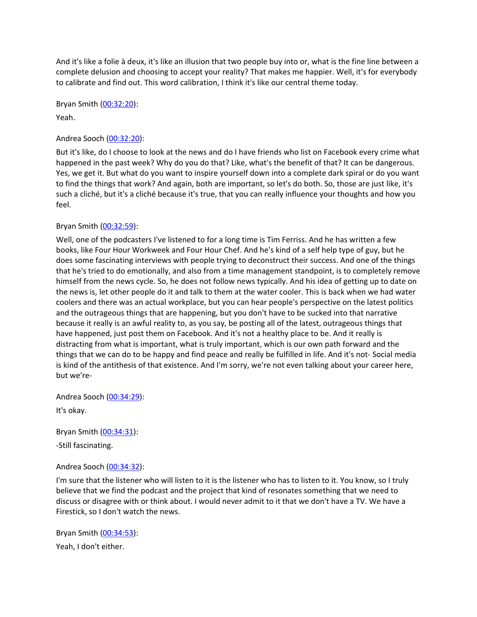And it's like a folie à deux, it's like an illusion that two people buy into or, what is the fine line between a complete delusion and choosing to accept your reality? That makes me happier. Well, it's for everybody to calibrate and find out. This word calibration, I think it's like our central theme today.

Bryan Smith ([00:32:20](https://www.temi.com/editor/t/qZonUaCVjD-xEijiohIoVOcEKbov8V3DvGdbALsa4pRw_8IzA7w3HncxSsraFyRZ29r0ly3IMZKFCOb90VK5zRCR_Mg?loadFrom=DocumentDeeplink&ts=1940.13)):

Yeah.

# Andrea Sooch ([00:32:20](https://www.temi.com/editor/t/qZonUaCVjD-xEijiohIoVOcEKbov8V3DvGdbALsa4pRw_8IzA7w3HncxSsraFyRZ29r0ly3IMZKFCOb90VK5zRCR_Mg?loadFrom=DocumentDeeplink&ts=1940.58)):

But it's like, do I choose to look at the news and do I have friends who list on Facebook every crime what happened in the past week? Why do you do that? Like, what's the benefit of that? It can be dangerous. Yes, we get it. But what do you want to inspire yourself down into a complete dark spiral or do you want to find the things that work? And again, both are important, so let's do both. So, those are just like, it's such a cliché, but it's a cliché because it's true, that you can really influence your thoughts and how you feel.

# Bryan Smith ([00:32:59](https://www.temi.com/editor/t/qZonUaCVjD-xEijiohIoVOcEKbov8V3DvGdbALsa4pRw_8IzA7w3HncxSsraFyRZ29r0ly3IMZKFCOb90VK5zRCR_Mg?loadFrom=DocumentDeeplink&ts=1979.62)):

Well, one of the podcasters I've listened to for a long time is Tim Ferriss. And he has written a few books, like Four Hour Workweek and Four Hour Chef. And he's kind of a self help type of guy, but he does some fascinating interviews with people trying to deconstruct their success. And one of the things that he's tried to do emotionally, and also from a time management standpoint, is to completely remove himself from the news cycle. So, he does not follow news typically. And his idea of getting up to date on the news is, let other people do it and talk to them at the water cooler. This is back when we had water coolers and there was an actual workplace, but you can hear people's perspective on the latest politics and the outrageous things that are happening, but you don't have to be sucked into that narrative because it really is an awful reality to, as you say, be posting all of the latest, outrageous things that have happened, just post them on Facebook. And it's not a healthy place to be. And it really is distracting from what is important, what is truly important, which is our own path forward and the things that we can do to be happy and find peace and really be fulfilled in life. And it's not- Social media is kind of the antithesis of that existence. And I'm sorry, we're not even talking about your career here, but we're-

Andrea Sooch ([00:34:29](https://www.temi.com/editor/t/qZonUaCVjD-xEijiohIoVOcEKbov8V3DvGdbALsa4pRw_8IzA7w3HncxSsraFyRZ29r0ly3IMZKFCOb90VK5zRCR_Mg?loadFrom=DocumentDeeplink&ts=2069.74)): It's okay.

Bryan Smith ([00:34:31](https://www.temi.com/editor/t/qZonUaCVjD-xEijiohIoVOcEKbov8V3DvGdbALsa4pRw_8IzA7w3HncxSsraFyRZ29r0ly3IMZKFCOb90VK5zRCR_Mg?loadFrom=DocumentDeeplink&ts=2071.03)): -Still fascinating.

# Andrea Sooch ([00:34:32](https://www.temi.com/editor/t/qZonUaCVjD-xEijiohIoVOcEKbov8V3DvGdbALsa4pRw_8IzA7w3HncxSsraFyRZ29r0ly3IMZKFCOb90VK5zRCR_Mg?loadFrom=DocumentDeeplink&ts=2072.38)):

I'm sure that the listener who will listen to it is the listener who has to listen to it. You know, so I truly believe that we find the podcast and the project that kind of resonates something that we need to discuss or disagree with or think about. I would never admit to it that we don't have a TV. We have a Firestick, so I don't watch the news.

Bryan Smith ([00:34:53](https://www.temi.com/editor/t/qZonUaCVjD-xEijiohIoVOcEKbov8V3DvGdbALsa4pRw_8IzA7w3HncxSsraFyRZ29r0ly3IMZKFCOb90VK5zRCR_Mg?loadFrom=DocumentDeeplink&ts=2093.261)): Yeah, I don't either.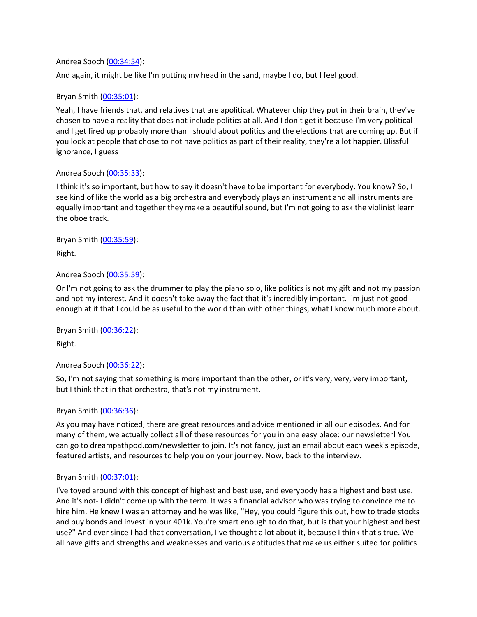#### Andrea Sooch ([00:34:54](https://www.temi.com/editor/t/qZonUaCVjD-xEijiohIoVOcEKbov8V3DvGdbALsa4pRw_8IzA7w3HncxSsraFyRZ29r0ly3IMZKFCOb90VK5zRCR_Mg?loadFrom=DocumentDeeplink&ts=2094.73)):

And again, it might be like I'm putting my head in the sand, maybe I do, but I feel good.

# Bryan Smith ([00:35:01](https://www.temi.com/editor/t/qZonUaCVjD-xEijiohIoVOcEKbov8V3DvGdbALsa4pRw_8IzA7w3HncxSsraFyRZ29r0ly3IMZKFCOb90VK5zRCR_Mg?loadFrom=DocumentDeeplink&ts=2101.63)):

Yeah, I have friends that, and relatives that are apolitical. Whatever chip they put in their brain, they've chosen to have a reality that does not include politics at all. And I don't get it because I'm very political and I get fired up probably more than I should about politics and the elections that are coming up. But if you look at people that chose to not have politics as part of their reality, they're a lot happier. Blissful ignorance, I guess

#### Andrea Sooch ([00:35:33](https://www.temi.com/editor/t/qZonUaCVjD-xEijiohIoVOcEKbov8V3DvGdbALsa4pRw_8IzA7w3HncxSsraFyRZ29r0ly3IMZKFCOb90VK5zRCR_Mg?loadFrom=DocumentDeeplink&ts=2133.88)):

I think it's so important, but how to say it doesn't have to be important for everybody. You know? So, I see kind of like the world as a big orchestra and everybody plays an instrument and all instruments are equally important and together they make a beautiful sound, but I'm not going to ask the violinist learn the oboe track.

# Bryan Smith ([00:35:59](https://www.temi.com/editor/t/qZonUaCVjD-xEijiohIoVOcEKbov8V3DvGdbALsa4pRw_8IzA7w3HncxSsraFyRZ29r0ly3IMZKFCOb90VK5zRCR_Mg?loadFrom=DocumentDeeplink&ts=2159.19)):

Right.

# Andrea Sooch ([00:35:59](https://www.temi.com/editor/t/qZonUaCVjD-xEijiohIoVOcEKbov8V3DvGdbALsa4pRw_8IzA7w3HncxSsraFyRZ29r0ly3IMZKFCOb90VK5zRCR_Mg?loadFrom=DocumentDeeplink&ts=2159.67)):

Or I'm not going to ask the drummer to play the piano solo, like politics is not my gift and not my passion and not my interest. And it doesn't take away the fact that it's incredibly important. I'm just not good enough at it that I could be as useful to the world than with other things, what I know much more about.

# Bryan Smith ([00:36:22](https://www.temi.com/editor/t/qZonUaCVjD-xEijiohIoVOcEKbov8V3DvGdbALsa4pRw_8IzA7w3HncxSsraFyRZ29r0ly3IMZKFCOb90VK5zRCR_Mg?loadFrom=DocumentDeeplink&ts=2182.231)):

Right.

# Andrea Sooch ([00:36:22](https://www.temi.com/editor/t/qZonUaCVjD-xEijiohIoVOcEKbov8V3DvGdbALsa4pRw_8IzA7w3HncxSsraFyRZ29r0ly3IMZKFCOb90VK5zRCR_Mg?loadFrom=DocumentDeeplink&ts=2182.231)):

So, I'm not saying that something is more important than the other, or it's very, very, very important, but I think that in that orchestra, that's not my instrument.

# Bryan Smith ([00:36:36](https://www.temi.com/editor/t/qZonUaCVjD-xEijiohIoVOcEKbov8V3DvGdbALsa4pRw_8IzA7w3HncxSsraFyRZ29r0ly3IMZKFCOb90VK5zRCR_Mg?loadFrom=DocumentDeeplink&ts=2196.26)):

As you may have noticed, there are great resources and advice mentioned in all our episodes. And for many of them, we actually collect all of these resources for you in one easy place: our newsletter! You can go to dreampathpod.com/newsletter to join. It's not fancy, just an email about each week's episode, featured artists, and resources to help you on your journey. Now, back to the interview.

# Bryan Smith ([00:37:01](https://www.temi.com/editor/t/qZonUaCVjD-xEijiohIoVOcEKbov8V3DvGdbALsa4pRw_8IzA7w3HncxSsraFyRZ29r0ly3IMZKFCOb90VK5zRCR_Mg?loadFrom=DocumentDeeplink&ts=2221.79)):

I've toyed around with this concept of highest and best use, and everybody has a highest and best use. And it's not- I didn't come up with the term. It was a financial advisor who was trying to convince me to hire him. He knew I was an attorney and he was like, "Hey, you could figure this out, how to trade stocks and buy bonds and invest in your 401k. You're smart enough to do that, but is that your highest and best use?" And ever since I had that conversation, I've thought a lot about it, because I think that's true. We all have gifts and strengths and weaknesses and various aptitudes that make us either suited for politics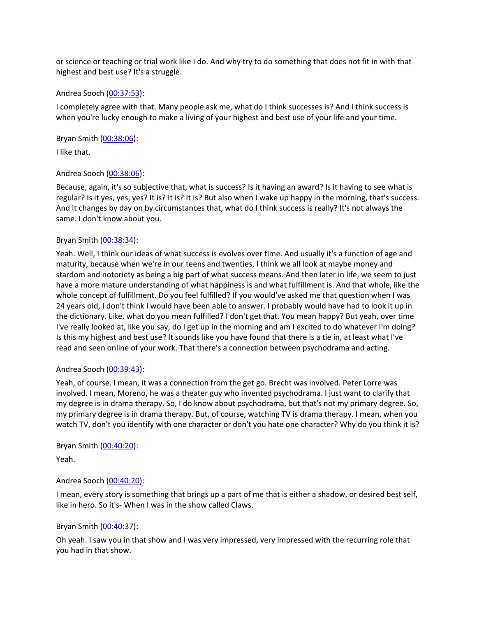or science or teaching or trial work like I do. And why try to do something that does not fit in with that highest and best use? It's a struggle.

#### Andrea Sooch ([00:37:53](https://www.temi.com/editor/t/qZonUaCVjD-xEijiohIoVOcEKbov8V3DvGdbALsa4pRw_8IzA7w3HncxSsraFyRZ29r0ly3IMZKFCOb90VK5zRCR_Mg?loadFrom=DocumentDeeplink&ts=2273)):

I completely agree with that. Many people ask me, what do I think successes is? And I think success is when you're lucky enough to make a living of your highest and best use of your life and your time.

Bryan Smith ([00:38:06](https://www.temi.com/editor/t/qZonUaCVjD-xEijiohIoVOcEKbov8V3DvGdbALsa4pRw_8IzA7w3HncxSsraFyRZ29r0ly3IMZKFCOb90VK5zRCR_Mg?loadFrom=DocumentDeeplink&ts=2286.14)):

I like that.

# Andrea Sooch ([00:38:06](https://www.temi.com/editor/t/qZonUaCVjD-xEijiohIoVOcEKbov8V3DvGdbALsa4pRw_8IzA7w3HncxSsraFyRZ29r0ly3IMZKFCOb90VK5zRCR_Mg?loadFrom=DocumentDeeplink&ts=2286.471)):

Because, again, it's so subjective that, what is success? Is it having an award? Is it having to see what is regular? Is it yes, yes, yes? It is? It is? It is? But also when I wake up happy in the morning, that's success. And it changes by day on by circumstances that, what do I think success is really? It's not always the same. I don't know about you.

# Bryan Smith ([00:38:34](https://www.temi.com/editor/t/qZonUaCVjD-xEijiohIoVOcEKbov8V3DvGdbALsa4pRw_8IzA7w3HncxSsraFyRZ29r0ly3IMZKFCOb90VK5zRCR_Mg?loadFrom=DocumentDeeplink&ts=2314.13)):

Yeah. Well, I think our ideas of what success is evolves over time. And usually it's a function of age and maturity, because when we're in our teens and twenties, I think we all look at maybe money and stardom and notoriety as being a big part of what success means. And then later in life, we seem to just have a more mature understanding of what happiness is and what fulfillment is. And that whole, like the whole concept of fulfillment. Do you feel fulfilled? If you would've asked me that question when I was 24 years old, I don't think I would have been able to answer. I probably would have had to look it up in the dictionary. Like, what do you mean fulfilled? I don't get that. You mean happy? But yeah, over time I've really looked at, like you say, do I get up in the morning and am I excited to do whatever I'm doing? Is this my highest and best use? It sounds like you have found that there is a tie in, at least what I've read and seen online of your work. That there's a connection between psychodrama and acting.

# Andrea Sooch ([00:39:43](https://www.temi.com/editor/t/qZonUaCVjD-xEijiohIoVOcEKbov8V3DvGdbALsa4pRw_8IzA7w3HncxSsraFyRZ29r0ly3IMZKFCOb90VK5zRCR_Mg?loadFrom=DocumentDeeplink&ts=2383.74)):

Yeah, of course. I mean, it was a connection from the get go. Brecht was involved. Peter Lorre was involved. I mean, Moreno, he was a theater guy who invented psychodrama. I just want to clarify that my degree is in drama therapy. So, I do know about psychodrama, but that's not my primary degree. So, my primary degree is in drama therapy. But, of course, watching TV is drama therapy. I mean, when you watch TV, don't you identify with one character or don't you hate one character? Why do you think it is?

# Bryan Smith ([00:40:20](https://www.temi.com/editor/t/qZonUaCVjD-xEijiohIoVOcEKbov8V3DvGdbALsa4pRw_8IzA7w3HncxSsraFyRZ29r0ly3IMZKFCOb90VK5zRCR_Mg?loadFrom=DocumentDeeplink&ts=2420.01)):

Yeah.

# Andrea Sooch ([00:40:20](https://www.temi.com/editor/t/qZonUaCVjD-xEijiohIoVOcEKbov8V3DvGdbALsa4pRw_8IzA7w3HncxSsraFyRZ29r0ly3IMZKFCOb90VK5zRCR_Mg?loadFrom=DocumentDeeplink&ts=2420.01)):

I mean, every story is something that brings up a part of me that is either a shadow, or desired best self, like in hero. So it's- When I was in the show called Claws.

# Bryan Smith ([00:40:37](https://www.temi.com/editor/t/qZonUaCVjD-xEijiohIoVOcEKbov8V3DvGdbALsa4pRw_8IzA7w3HncxSsraFyRZ29r0ly3IMZKFCOb90VK5zRCR_Mg?loadFrom=DocumentDeeplink&ts=2437.8)):

Oh yeah. I saw you in that show and I was very impressed, very impressed with the recurring role that you had in that show.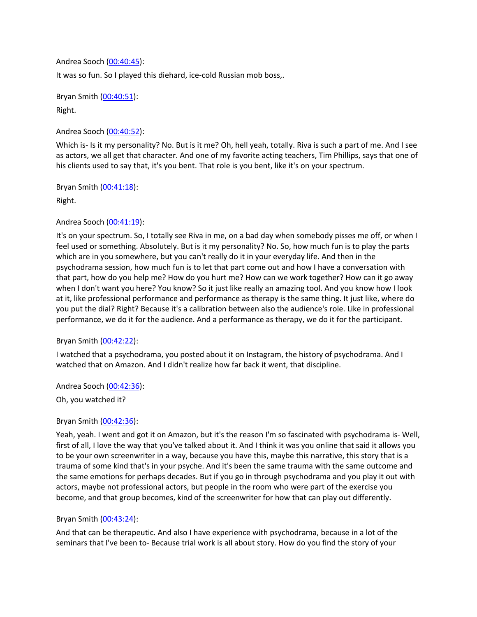Andrea Sooch ([00:40:45](https://www.temi.com/editor/t/qZonUaCVjD-xEijiohIoVOcEKbov8V3DvGdbALsa4pRw_8IzA7w3HncxSsraFyRZ29r0ly3IMZKFCOb90VK5zRCR_Mg?loadFrom=DocumentDeeplink&ts=2445.78)): It was so fun. So I played this diehard, ice-cold Russian mob boss,.

Bryan Smith ([00:40:51](https://www.temi.com/editor/t/qZonUaCVjD-xEijiohIoVOcEKbov8V3DvGdbALsa4pRw_8IzA7w3HncxSsraFyRZ29r0ly3IMZKFCOb90VK5zRCR_Mg?loadFrom=DocumentDeeplink&ts=2451.781)): Right.

Andrea Sooch ([00:40:52](https://www.temi.com/editor/t/qZonUaCVjD-xEijiohIoVOcEKbov8V3DvGdbALsa4pRw_8IzA7w3HncxSsraFyRZ29r0ly3IMZKFCOb90VK5zRCR_Mg?loadFrom=DocumentDeeplink&ts=2452.171)):

Which is- Is it my personality? No. But is it me? Oh, hell yeah, totally. Riva is such a part of me. And I see as actors, we all get that character. And one of my favorite acting teachers, Tim Phillips, says that one of his clients used to say that, it's you bent. That role is you bent, like it's on your spectrum.

Bryan Smith ([00:41:18](https://www.temi.com/editor/t/qZonUaCVjD-xEijiohIoVOcEKbov8V3DvGdbALsa4pRw_8IzA7w3HncxSsraFyRZ29r0ly3IMZKFCOb90VK5zRCR_Mg?loadFrom=DocumentDeeplink&ts=2478.54)):

Right.

# Andrea Sooch ([00:41:19](https://www.temi.com/editor/t/qZonUaCVjD-xEijiohIoVOcEKbov8V3DvGdbALsa4pRw_8IzA7w3HncxSsraFyRZ29r0ly3IMZKFCOb90VK5zRCR_Mg?loadFrom=DocumentDeeplink&ts=2479.23)):

It's on your spectrum. So, I totally see Riva in me, on a bad day when somebody pisses me off, or when I feel used or something. Absolutely. But is it my personality? No. So, how much fun is to play the parts which are in you somewhere, but you can't really do it in your everyday life. And then in the psychodrama session, how much fun is to let that part come out and how I have a conversation with that part, how do you help me? How do you hurt me? How can we work together? How can it go away when I don't want you here? You know? So it just like really an amazing tool. And you know how I look at it, like professional performance and performance as therapy is the same thing. It just like, where do you put the dial? Right? Because it's a calibration between also the audience's role. Like in professional performance, we do it for the audience. And a performance as therapy, we do it for the participant.

# Bryan Smith ([00:42:22](https://www.temi.com/editor/t/qZonUaCVjD-xEijiohIoVOcEKbov8V3DvGdbALsa4pRw_8IzA7w3HncxSsraFyRZ29r0ly3IMZKFCOb90VK5zRCR_Mg?loadFrom=DocumentDeeplink&ts=2542.6)):

I watched that a psychodrama, you posted about it on Instagram, the history of psychodrama. And I watched that on Amazon. And I didn't realize how far back it went, that discipline.

Andrea Sooch ([00:42:36](https://www.temi.com/editor/t/qZonUaCVjD-xEijiohIoVOcEKbov8V3DvGdbALsa4pRw_8IzA7w3HncxSsraFyRZ29r0ly3IMZKFCOb90VK5zRCR_Mg?loadFrom=DocumentDeeplink&ts=2556.52)):

Oh, you watched it?

# Bryan Smith ([00:42:36](https://www.temi.com/editor/t/qZonUaCVjD-xEijiohIoVOcEKbov8V3DvGdbALsa4pRw_8IzA7w3HncxSsraFyRZ29r0ly3IMZKFCOb90VK5zRCR_Mg?loadFrom=DocumentDeeplink&ts=2556.93)):

Yeah, yeah. I went and got it on Amazon, but it's the reason I'm so fascinated with psychodrama is- Well, first of all, I love the way that you've talked about it. And I think it was you online that said it allows you to be your own screenwriter in a way, because you have this, maybe this narrative, this story that is a trauma of some kind that's in your psyche. And it's been the same trauma with the same outcome and the same emotions for perhaps decades. But if you go in through psychodrama and you play it out with actors, maybe not professional actors, but people in the room who were part of the exercise you become, and that group becomes, kind of the screenwriter for how that can play out differently.

# Bryan Smith ([00:43:24](https://www.temi.com/editor/t/qZonUaCVjD-xEijiohIoVOcEKbov8V3DvGdbALsa4pRw_8IzA7w3HncxSsraFyRZ29r0ly3IMZKFCOb90VK5zRCR_Mg?loadFrom=DocumentDeeplink&ts=2604.79)):

And that can be therapeutic. And also I have experience with psychodrama, because in a lot of the seminars that I've been to- Because trial work is all about story. How do you find the story of your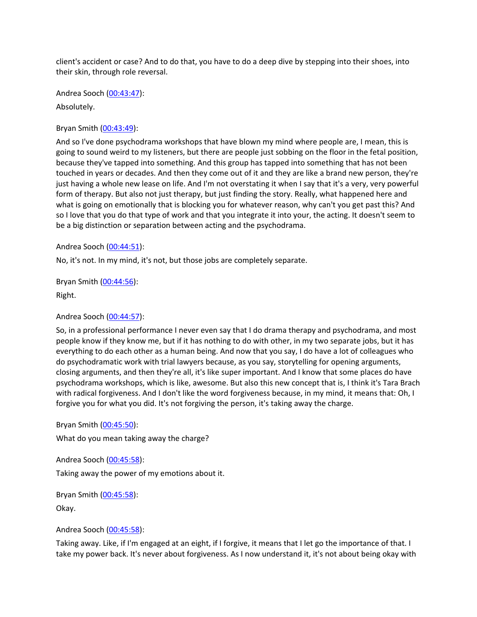client's accident or case? And to do that, you have to do a deep dive by stepping into their shoes, into their skin, through role reversal.

Andrea Sooch ([00:43:47](https://www.temi.com/editor/t/qZonUaCVjD-xEijiohIoVOcEKbov8V3DvGdbALsa4pRw_8IzA7w3HncxSsraFyRZ29r0ly3IMZKFCOb90VK5zRCR_Mg?loadFrom=DocumentDeeplink&ts=2627.501)):

Absolutely.

Bryan Smith ([00:43:49](https://www.temi.com/editor/t/qZonUaCVjD-xEijiohIoVOcEKbov8V3DvGdbALsa4pRw_8IzA7w3HncxSsraFyRZ29r0ly3IMZKFCOb90VK5zRCR_Mg?loadFrom=DocumentDeeplink&ts=2629.51)):

And so I've done psychodrama workshops that have blown my mind where people are, I mean, this is going to sound weird to my listeners, but there are people just sobbing on the floor in the fetal position, because they've tapped into something. And this group has tapped into something that has not been touched in years or decades. And then they come out of it and they are like a brand new person, they're just having a whole new lease on life. And I'm not overstating it when I say that it's a very, very powerful form of therapy. But also not just therapy, but just finding the story. Really, what happened here and what is going on emotionally that is blocking you for whatever reason, why can't you get past this? And so I love that you do that type of work and that you integrate it into your, the acting. It doesn't seem to be a big distinction or separation between acting and the psychodrama.

Andrea Sooch ([00:44:51](https://www.temi.com/editor/t/qZonUaCVjD-xEijiohIoVOcEKbov8V3DvGdbALsa4pRw_8IzA7w3HncxSsraFyRZ29r0ly3IMZKFCOb90VK5zRCR_Mg?loadFrom=DocumentDeeplink&ts=2691.98)):

No, it's not. In my mind, it's not, but those jobs are completely separate.

Bryan Smith ([00:44:56](https://www.temi.com/editor/t/qZonUaCVjD-xEijiohIoVOcEKbov8V3DvGdbALsa4pRw_8IzA7w3HncxSsraFyRZ29r0ly3IMZKFCOb90VK5zRCR_Mg?loadFrom=DocumentDeeplink&ts=2696.48)):

Right.

Andrea Sooch ([00:44:57](https://www.temi.com/editor/t/qZonUaCVjD-xEijiohIoVOcEKbov8V3DvGdbALsa4pRw_8IzA7w3HncxSsraFyRZ29r0ly3IMZKFCOb90VK5zRCR_Mg?loadFrom=DocumentDeeplink&ts=2697.08)):

So, in a professional performance I never even say that I do drama therapy and psychodrama, and most people know if they know me, but if it has nothing to do with other, in my two separate jobs, but it has everything to do each other as a human being. And now that you say, I do have a lot of colleagues who do psychodramatic work with trial lawyers because, as you say, storytelling for opening arguments, closing arguments, and then they're all, it's like super important. And I know that some places do have psychodrama workshops, which is like, awesome. But also this new concept that is, I think it's Tara Brach with radical forgiveness. And I don't like the word forgiveness because, in my mind, it means that: Oh, I forgive you for what you did. It's not forgiving the person, it's taking away the charge.

Bryan Smith ([00:45:50](https://www.temi.com/editor/t/qZonUaCVjD-xEijiohIoVOcEKbov8V3DvGdbALsa4pRw_8IzA7w3HncxSsraFyRZ29r0ly3IMZKFCOb90VK5zRCR_Mg?loadFrom=DocumentDeeplink&ts=2750.93)):

What do you mean taking away the charge?

Andrea Sooch ([00:45:58](https://www.temi.com/editor/t/qZonUaCVjD-xEijiohIoVOcEKbov8V3DvGdbALsa4pRw_8IzA7w3HncxSsraFyRZ29r0ly3IMZKFCOb90VK5zRCR_Mg?loadFrom=DocumentDeeplink&ts=2758.521)): Taking away the power of my emotions about it.

Bryan Smith ([00:45:58](https://www.temi.com/editor/t/qZonUaCVjD-xEijiohIoVOcEKbov8V3DvGdbALsa4pRw_8IzA7w3HncxSsraFyRZ29r0ly3IMZKFCOb90VK5zRCR_Mg?loadFrom=DocumentDeeplink&ts=2758.521)):

Okay.

Andrea Sooch ([00:45:58](https://www.temi.com/editor/t/qZonUaCVjD-xEijiohIoVOcEKbov8V3DvGdbALsa4pRw_8IzA7w3HncxSsraFyRZ29r0ly3IMZKFCOb90VK5zRCR_Mg?loadFrom=DocumentDeeplink&ts=2758.521)):

Taking away. Like, if I'm engaged at an eight, if I forgive, it means that I let go the importance of that. I take my power back. It's never about forgiveness. As I now understand it, it's not about being okay with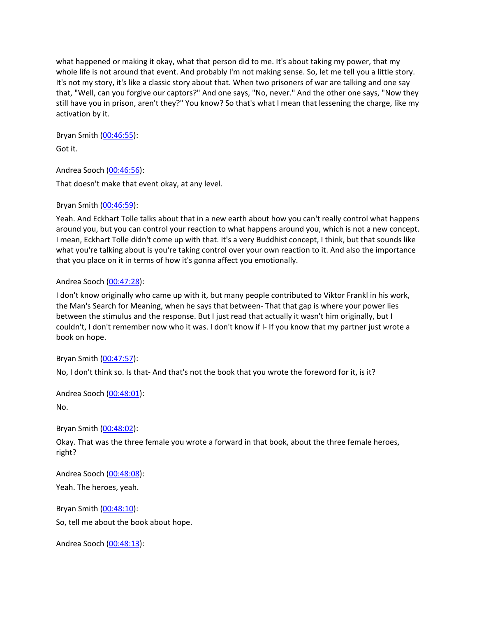what happened or making it okay, what that person did to me. It's about taking my power, that my whole life is not around that event. And probably I'm not making sense. So, let me tell you a little story. It's not my story, it's like a classic story about that. When two prisoners of war are talking and one say that, "Well, can you forgive our captors?" And one says, "No, never." And the other one says, "Now they still have you in prison, aren't they?" You know? So that's what I mean that lessening the charge, like my activation by it.

Bryan Smith ([00:46:55](https://www.temi.com/editor/t/qZonUaCVjD-xEijiohIoVOcEKbov8V3DvGdbALsa4pRw_8IzA7w3HncxSsraFyRZ29r0ly3IMZKFCOb90VK5zRCR_Mg?loadFrom=DocumentDeeplink&ts=2815.82)): Got it.

Andrea Sooch ([00:46:56](https://www.temi.com/editor/t/qZonUaCVjD-xEijiohIoVOcEKbov8V3DvGdbALsa4pRw_8IzA7w3HncxSsraFyRZ29r0ly3IMZKFCOb90VK5zRCR_Mg?loadFrom=DocumentDeeplink&ts=2816.48)): That doesn't make that event okay, at any level.

# Bryan Smith ([00:46:59](https://www.temi.com/editor/t/qZonUaCVjD-xEijiohIoVOcEKbov8V3DvGdbALsa4pRw_8IzA7w3HncxSsraFyRZ29r0ly3IMZKFCOb90VK5zRCR_Mg?loadFrom=DocumentDeeplink&ts=2819.87)):

Yeah. And Eckhart Tolle talks about that in a new earth about how you can't really control what happens around you, but you can control your reaction to what happens around you, which is not a new concept. I mean, Eckhart Tolle didn't come up with that. It's a very Buddhist concept, I think, but that sounds like what you're talking about is you're taking control over your own reaction to it. And also the importance that you place on it in terms of how it's gonna affect you emotionally.

# Andrea Sooch ([00:47:28](https://www.temi.com/editor/t/qZonUaCVjD-xEijiohIoVOcEKbov8V3DvGdbALsa4pRw_8IzA7w3HncxSsraFyRZ29r0ly3IMZKFCOb90VK5zRCR_Mg?loadFrom=DocumentDeeplink&ts=2848.88)):

I don't know originally who came up with it, but many people contributed to Viktor Frankl in his work, the Man's Search for Meaning, when he says that between- That that gap is where your power lies between the stimulus and the response. But I just read that actually it wasn't him originally, but I couldn't, I don't remember now who it was. I don't know if I- If you know that my partner just wrote a book on hope.

# Bryan Smith ([00:47:57](https://www.temi.com/editor/t/qZonUaCVjD-xEijiohIoVOcEKbov8V3DvGdbALsa4pRw_8IzA7w3HncxSsraFyRZ29r0ly3IMZKFCOb90VK5zRCR_Mg?loadFrom=DocumentDeeplink&ts=2877.09)):

No, I don't think so. Is that- And that's not the book that you wrote the foreword for it, is it?

Andrea Sooch ([00:48:01](https://www.temi.com/editor/t/qZonUaCVjD-xEijiohIoVOcEKbov8V3DvGdbALsa4pRw_8IzA7w3HncxSsraFyRZ29r0ly3IMZKFCOb90VK5zRCR_Mg?loadFrom=DocumentDeeplink&ts=2881.74)):

No.

Bryan Smith ([00:48:02](https://www.temi.com/editor/t/qZonUaCVjD-xEijiohIoVOcEKbov8V3DvGdbALsa4pRw_8IzA7w3HncxSsraFyRZ29r0ly3IMZKFCOb90VK5zRCR_Mg?loadFrom=DocumentDeeplink&ts=2882.16)):

Okay. That was the three female you wrote a forward in that book, about the three female heroes, right?

Andrea Sooch ([00:48:08](https://www.temi.com/editor/t/qZonUaCVjD-xEijiohIoVOcEKbov8V3DvGdbALsa4pRw_8IzA7w3HncxSsraFyRZ29r0ly3IMZKFCOb90VK5zRCR_Mg?loadFrom=DocumentDeeplink&ts=2888.71)):

Yeah. The heroes, yeah.

Bryan Smith ([00:48:10](https://www.temi.com/editor/t/qZonUaCVjD-xEijiohIoVOcEKbov8V3DvGdbALsa4pRw_8IzA7w3HncxSsraFyRZ29r0ly3IMZKFCOb90VK5zRCR_Mg?loadFrom=DocumentDeeplink&ts=2890.89)): So, tell me about the book about hope.

Andrea Sooch ([00:48:13](https://www.temi.com/editor/t/qZonUaCVjD-xEijiohIoVOcEKbov8V3DvGdbALsa4pRw_8IzA7w3HncxSsraFyRZ29r0ly3IMZKFCOb90VK5zRCR_Mg?loadFrom=DocumentDeeplink&ts=2893.2)):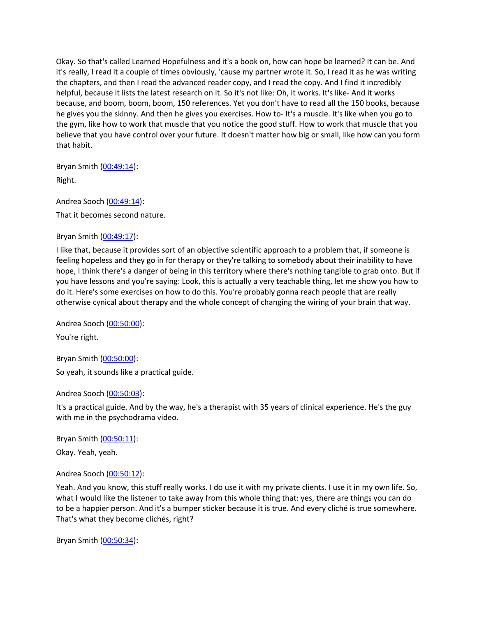Okay. So that's called Learned Hopefulness and it's a book on, how can hope be learned? It can be. And it's really, I read it a couple of times obviously, 'cause my partner wrote it. So, I read it as he was writing the chapters, and then I read the advanced reader copy, and I read the copy. And I find it incredibly helpful, because it lists the latest research on it. So it's not like: Oh, it works. It's like- And it works because, and boom, boom, boom, 150 references. Yet you don't have to read all the 150 books, because he gives you the skinny. And then he gives you exercises. How to- It's a muscle. It's like when you go to the gym, like how to work that muscle that you notice the good stuff. How to work that muscle that you believe that you have control over your future. It doesn't matter how big or small, like how can you form that habit.

Bryan Smith ([00:49:14](https://www.temi.com/editor/t/qZonUaCVjD-xEijiohIoVOcEKbov8V3DvGdbALsa4pRw_8IzA7w3HncxSsraFyRZ29r0ly3IMZKFCOb90VK5zRCR_Mg?loadFrom=DocumentDeeplink&ts=2954.46)):

Right.

Andrea Sooch ([00:49:14](https://www.temi.com/editor/t/qZonUaCVjD-xEijiohIoVOcEKbov8V3DvGdbALsa4pRw_8IzA7w3HncxSsraFyRZ29r0ly3IMZKFCOb90VK5zRCR_Mg?loadFrom=DocumentDeeplink&ts=2954.85)): That it becomes second nature.

# Bryan Smith ([00:49:17](https://www.temi.com/editor/t/qZonUaCVjD-xEijiohIoVOcEKbov8V3DvGdbALsa4pRw_8IzA7w3HncxSsraFyRZ29r0ly3IMZKFCOb90VK5zRCR_Mg?loadFrom=DocumentDeeplink&ts=2957.28)):

I like that, because it provides sort of an objective scientific approach to a problem that, if someone is feeling hopeless and they go in for therapy or they're talking to somebody about their inability to have hope, I think there's a danger of being in this territory where there's nothing tangible to grab onto. But if you have lessons and you're saying: Look, this is actually a very teachable thing, let me show you how to do it. Here's some exercises on how to do this. You're probably gonna reach people that are really otherwise cynical about therapy and the whole concept of changing the wiring of your brain that way.

Andrea Sooch ([00:50:00](https://www.temi.com/editor/t/qZonUaCVjD-xEijiohIoVOcEKbov8V3DvGdbALsa4pRw_8IzA7w3HncxSsraFyRZ29r0ly3IMZKFCOb90VK5zRCR_Mg?loadFrom=DocumentDeeplink&ts=3000.27)):

You're right.

Bryan Smith ([00:50:00](https://www.temi.com/editor/t/qZonUaCVjD-xEijiohIoVOcEKbov8V3DvGdbALsa4pRw_8IzA7w3HncxSsraFyRZ29r0ly3IMZKFCOb90VK5zRCR_Mg?loadFrom=DocumentDeeplink&ts=3000.27)): So yeah, it sounds like a practical guide.

Andrea Sooch ([00:50:03](https://www.temi.com/editor/t/qZonUaCVjD-xEijiohIoVOcEKbov8V3DvGdbALsa4pRw_8IzA7w3HncxSsraFyRZ29r0ly3IMZKFCOb90VK5zRCR_Mg?loadFrom=DocumentDeeplink&ts=3003.09)):

It's a practical guide. And by the way, he's a therapist with 35 years of clinical experience. He's the guy with me in the psychodrama video.

Bryan Smith ([00:50:11](https://www.temi.com/editor/t/qZonUaCVjD-xEijiohIoVOcEKbov8V3DvGdbALsa4pRw_8IzA7w3HncxSsraFyRZ29r0ly3IMZKFCOb90VK5zRCR_Mg?loadFrom=DocumentDeeplink&ts=3011.04)):

Okay. Yeah, yeah.

Andrea Sooch ([00:50:12](https://www.temi.com/editor/t/qZonUaCVjD-xEijiohIoVOcEKbov8V3DvGdbALsa4pRw_8IzA7w3HncxSsraFyRZ29r0ly3IMZKFCOb90VK5zRCR_Mg?loadFrom=DocumentDeeplink&ts=3012.93)):

Yeah. And you know, this stuff really works. I do use it with my private clients. I use it in my own life. So, what I would like the listener to take away from this whole thing that: yes, there are things you can do to be a happier person. And it's a bumper sticker because it is true. And every cliché is true somewhere. That's what they become clichés, right?

Bryan Smith ([00:50:34](https://www.temi.com/editor/t/qZonUaCVjD-xEijiohIoVOcEKbov8V3DvGdbALsa4pRw_8IzA7w3HncxSsraFyRZ29r0ly3IMZKFCOb90VK5zRCR_Mg?loadFrom=DocumentDeeplink&ts=3034.96)):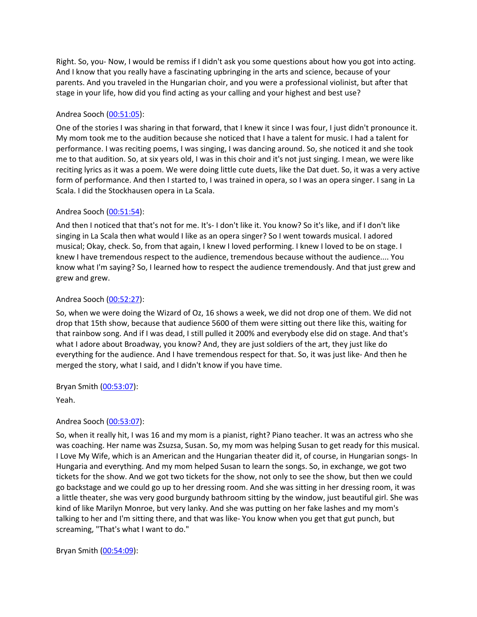Right. So, you- Now, I would be remiss if I didn't ask you some questions about how you got into acting. And I know that you really have a fascinating upbringing in the arts and science, because of your parents. And you traveled in the Hungarian choir, and you were a professional violinist, but after that stage in your life, how did you find acting as your calling and your highest and best use?

# Andrea Sooch ([00:51:05](https://www.temi.com/editor/t/qZonUaCVjD-xEijiohIoVOcEKbov8V3DvGdbALsa4pRw_8IzA7w3HncxSsraFyRZ29r0ly3IMZKFCOb90VK5zRCR_Mg?loadFrom=DocumentDeeplink&ts=3065.68)):

One of the stories I was sharing in that forward, that I knew it since I was four, I just didn't pronounce it. My mom took me to the audition because she noticed that I have a talent for music. I had a talent for performance. I was reciting poems, I was singing, I was dancing around. So, she noticed it and she took me to that audition. So, at six years old, I was in this choir and it's not just singing. I mean, we were like reciting lyrics as it was a poem. We were doing little cute duets, like the Dat duet. So, it was a very active form of performance. And then I started to, I was trained in opera, so I was an opera singer. I sang in La Scala. I did the Stockhausen opera in La Scala.

# Andrea Sooch ([00:51:54](https://www.temi.com/editor/t/qZonUaCVjD-xEijiohIoVOcEKbov8V3DvGdbALsa4pRw_8IzA7w3HncxSsraFyRZ29r0ly3IMZKFCOb90VK5zRCR_Mg?loadFrom=DocumentDeeplink&ts=3114.64)):

And then I noticed that that's not for me. It's- I don't like it. You know? So it's like, and if I don't like singing in La Scala then what would I like as an opera singer? So I went towards musical. I adored musical; Okay, check. So, from that again, I knew I loved performing. I knew I loved to be on stage. I knew I have tremendous respect to the audience, tremendous because without the audience.... You know what I'm saying? So, I learned how to respect the audience tremendously. And that just grew and grew and grew.

# Andrea Sooch ([00:52:27](https://www.temi.com/editor/t/qZonUaCVjD-xEijiohIoVOcEKbov8V3DvGdbALsa4pRw_8IzA7w3HncxSsraFyRZ29r0ly3IMZKFCOb90VK5zRCR_Mg?loadFrom=DocumentDeeplink&ts=3147.461)):

So, when we were doing the Wizard of Oz, 16 shows a week, we did not drop one of them. We did not drop that 15th show, because that audience 5600 of them were sitting out there like this, waiting for that rainbow song. And if I was dead, I still pulled it 200% and everybody else did on stage. And that's what I adore about Broadway, you know? And, they are just soldiers of the art, they just like do everything for the audience. And I have tremendous respect for that. So, it was just like- And then he merged the story, what I said, and I didn't know if you have time.

# Bryan Smith ([00:53:07](https://www.temi.com/editor/t/qZonUaCVjD-xEijiohIoVOcEKbov8V3DvGdbALsa4pRw_8IzA7w3HncxSsraFyRZ29r0ly3IMZKFCOb90VK5zRCR_Mg?loadFrom=DocumentDeeplink&ts=3187.12)):

Yeah.

# Andrea Sooch ([00:53:07](https://www.temi.com/editor/t/qZonUaCVjD-xEijiohIoVOcEKbov8V3DvGdbALsa4pRw_8IzA7w3HncxSsraFyRZ29r0ly3IMZKFCOb90VK5zRCR_Mg?loadFrom=DocumentDeeplink&ts=3187.6)):

So, when it really hit, I was 16 and my mom is a pianist, right? Piano teacher. It was an actress who she was coaching. Her name was Zsuzsa, Susan. So, my mom was helping Susan to get ready for this musical. I Love My Wife, which is an American and the Hungarian theater did it, of course, in Hungarian songs- In Hungaria and everything. And my mom helped Susan to learn the songs. So, in exchange, we got two tickets for the show. And we got two tickets for the show, not only to see the show, but then we could go backstage and we could go up to her dressing room. And she was sitting in her dressing room, it was a little theater, she was very good burgundy bathroom sitting by the window, just beautiful girl. She was kind of like Marilyn Monroe, but very lanky. And she was putting on her fake lashes and my mom's talking to her and I'm sitting there, and that was like- You know when you get that gut punch, but screaming, "That's what I want to do."

Bryan Smith ([00:54:09](https://www.temi.com/editor/t/qZonUaCVjD-xEijiohIoVOcEKbov8V3DvGdbALsa4pRw_8IzA7w3HncxSsraFyRZ29r0ly3IMZKFCOb90VK5zRCR_Mg?loadFrom=DocumentDeeplink&ts=3249.96)):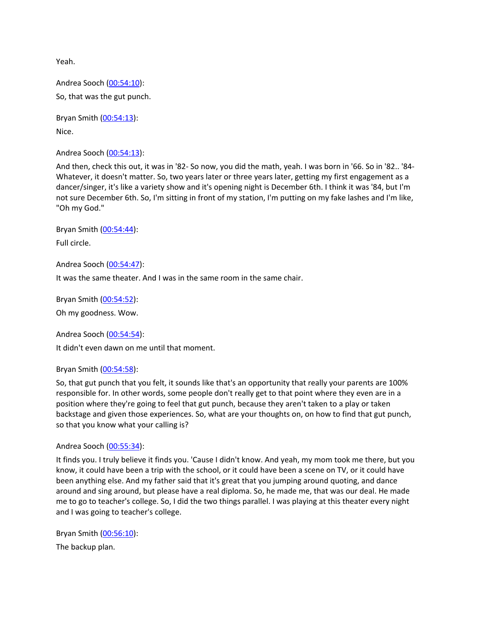Yeah.

Andrea Sooch ([00:54:10](https://www.temi.com/editor/t/qZonUaCVjD-xEijiohIoVOcEKbov8V3DvGdbALsa4pRw_8IzA7w3HncxSsraFyRZ29r0ly3IMZKFCOb90VK5zRCR_Mg?loadFrom=DocumentDeeplink&ts=3250.65)): So, that was the gut punch.

Bryan Smith ([00:54:13](https://www.temi.com/editor/t/qZonUaCVjD-xEijiohIoVOcEKbov8V3DvGdbALsa4pRw_8IzA7w3HncxSsraFyRZ29r0ly3IMZKFCOb90VK5zRCR_Mg?loadFrom=DocumentDeeplink&ts=3253.32)): Nice.

Andrea Sooch ([00:54:13](https://www.temi.com/editor/t/qZonUaCVjD-xEijiohIoVOcEKbov8V3DvGdbALsa4pRw_8IzA7w3HncxSsraFyRZ29r0ly3IMZKFCOb90VK5zRCR_Mg?loadFrom=DocumentDeeplink&ts=3253.32)):

And then, check this out, it was in '82- So now, you did the math, yeah. I was born in '66. So in '82.. '84- Whatever, it doesn't matter. So, two years later or three years later, getting my first engagement as a dancer/singer, it's like a variety show and it's opening night is December 6th. I think it was '84, but I'm not sure December 6th. So, I'm sitting in front of my station, I'm putting on my fake lashes and I'm like, "Oh my God."

Bryan Smith ([00:54:44](https://www.temi.com/editor/t/qZonUaCVjD-xEijiohIoVOcEKbov8V3DvGdbALsa4pRw_8IzA7w3HncxSsraFyRZ29r0ly3IMZKFCOb90VK5zRCR_Mg?loadFrom=DocumentDeeplink&ts=3284.66)): Full circle.

Andrea Sooch ([00:54:47](https://www.temi.com/editor/t/qZonUaCVjD-xEijiohIoVOcEKbov8V3DvGdbALsa4pRw_8IzA7w3HncxSsraFyRZ29r0ly3IMZKFCOb90VK5zRCR_Mg?loadFrom=DocumentDeeplink&ts=3287.27)):

It was the same theater. And I was in the same room in the same chair.

Bryan Smith ([00:54:52](https://www.temi.com/editor/t/qZonUaCVjD-xEijiohIoVOcEKbov8V3DvGdbALsa4pRw_8IzA7w3HncxSsraFyRZ29r0ly3IMZKFCOb90VK5zRCR_Mg?loadFrom=DocumentDeeplink&ts=3292.01)):

Oh my goodness. Wow.

Andrea Sooch ([00:54:54](https://www.temi.com/editor/t/qZonUaCVjD-xEijiohIoVOcEKbov8V3DvGdbALsa4pRw_8IzA7w3HncxSsraFyRZ29r0ly3IMZKFCOb90VK5zRCR_Mg?loadFrom=DocumentDeeplink&ts=3294.44)):

It didn't even dawn on me until that moment.

#### Bryan Smith ([00:54:58](https://www.temi.com/editor/t/qZonUaCVjD-xEijiohIoVOcEKbov8V3DvGdbALsa4pRw_8IzA7w3HncxSsraFyRZ29r0ly3IMZKFCOb90VK5zRCR_Mg?loadFrom=DocumentDeeplink&ts=3298.1)):

So, that gut punch that you felt, it sounds like that's an opportunity that really your parents are 100% responsible for. In other words, some people don't really get to that point where they even are in a position where they're going to feel that gut punch, because they aren't taken to a play or taken backstage and given those experiences. So, what are your thoughts on, on how to find that gut punch, so that you know what your calling is?

#### Andrea Sooch ([00:55:34](https://www.temi.com/editor/t/qZonUaCVjD-xEijiohIoVOcEKbov8V3DvGdbALsa4pRw_8IzA7w3HncxSsraFyRZ29r0ly3IMZKFCOb90VK5zRCR_Mg?loadFrom=DocumentDeeplink&ts=3334.13)):

It finds you. I truly believe it finds you. 'Cause I didn't know. And yeah, my mom took me there, but you know, it could have been a trip with the school, or it could have been a scene on TV, or it could have been anything else. And my father said that it's great that you jumping around quoting, and dance around and sing around, but please have a real diploma. So, he made me, that was our deal. He made me to go to teacher's college. So, I did the two things parallel. I was playing at this theater every night and I was going to teacher's college.

Bryan Smith ([00:56:10](https://www.temi.com/editor/t/qZonUaCVjD-xEijiohIoVOcEKbov8V3DvGdbALsa4pRw_8IzA7w3HncxSsraFyRZ29r0ly3IMZKFCOb90VK5zRCR_Mg?loadFrom=DocumentDeeplink&ts=3370.4)): The backup plan.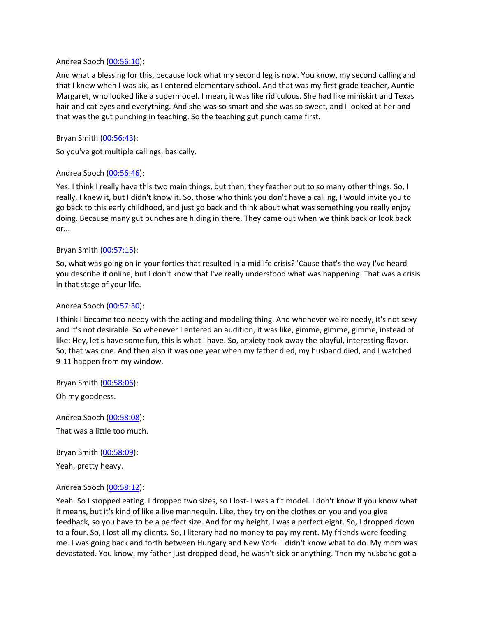#### Andrea Sooch ([00:56:10](https://www.temi.com/editor/t/qZonUaCVjD-xEijiohIoVOcEKbov8V3DvGdbALsa4pRw_8IzA7w3HncxSsraFyRZ29r0ly3IMZKFCOb90VK5zRCR_Mg?loadFrom=DocumentDeeplink&ts=3370.761)):

And what a blessing for this, because look what my second leg is now. You know, my second calling and that I knew when I was six, as I entered elementary school. And that was my first grade teacher, Auntie Margaret, who looked like a supermodel. I mean, it was like ridiculous. She had like miniskirt and Texas hair and cat eyes and everything. And she was so smart and she was so sweet, and I looked at her and that was the gut punching in teaching. So the teaching gut punch came first.

# Bryan Smith ([00:56:43](https://www.temi.com/editor/t/qZonUaCVjD-xEijiohIoVOcEKbov8V3DvGdbALsa4pRw_8IzA7w3HncxSsraFyRZ29r0ly3IMZKFCOb90VK5zRCR_Mg?loadFrom=DocumentDeeplink&ts=3403.56)):

So you've got multiple callings, basically.

#### Andrea Sooch ([00:56:46](https://www.temi.com/editor/t/qZonUaCVjD-xEijiohIoVOcEKbov8V3DvGdbALsa4pRw_8IzA7w3HncxSsraFyRZ29r0ly3IMZKFCOb90VK5zRCR_Mg?loadFrom=DocumentDeeplink&ts=3406.38)):

Yes. I think I really have this two main things, but then, they feather out to so many other things. So, I really, I knew it, but I didn't know it. So, those who think you don't have a calling, I would invite you to go back to this early childhood, and just go back and think about what was something you really enjoy doing. Because many gut punches are hiding in there. They came out when we think back or look back or...

#### Bryan Smith ([00:57:15](https://www.temi.com/editor/t/qZonUaCVjD-xEijiohIoVOcEKbov8V3DvGdbALsa4pRw_8IzA7w3HncxSsraFyRZ29r0ly3IMZKFCOb90VK5zRCR_Mg?loadFrom=DocumentDeeplink&ts=3435.96)):

So, what was going on in your forties that resulted in a midlife crisis? 'Cause that's the way I've heard you describe it online, but I don't know that I've really understood what was happening. That was a crisis in that stage of your life.

#### Andrea Sooch ([00:57:30](https://www.temi.com/editor/t/qZonUaCVjD-xEijiohIoVOcEKbov8V3DvGdbALsa4pRw_8IzA7w3HncxSsraFyRZ29r0ly3IMZKFCOb90VK5zRCR_Mg?loadFrom=DocumentDeeplink&ts=3450.78)):

I think I became too needy with the acting and modeling thing. And whenever we're needy, it's not sexy and it's not desirable. So whenever I entered an audition, it was like, gimme, gimme, gimme, instead of like: Hey, let's have some fun, this is what I have. So, anxiety took away the playful, interesting flavor. So, that was one. And then also it was one year when my father died, my husband died, and I watched 9-11 happen from my window.

Bryan Smith ([00:58:06](https://www.temi.com/editor/t/qZonUaCVjD-xEijiohIoVOcEKbov8V3DvGdbALsa4pRw_8IzA7w3HncxSsraFyRZ29r0ly3IMZKFCOb90VK5zRCR_Mg?loadFrom=DocumentDeeplink&ts=3486.84)): Oh my goodness.

Andrea Sooch ([00:58:08](https://www.temi.com/editor/t/qZonUaCVjD-xEijiohIoVOcEKbov8V3DvGdbALsa4pRw_8IzA7w3HncxSsraFyRZ29r0ly3IMZKFCOb90VK5zRCR_Mg?loadFrom=DocumentDeeplink&ts=3488.04)): That was a little too much.

Bryan Smith ([00:58:09](https://www.temi.com/editor/t/qZonUaCVjD-xEijiohIoVOcEKbov8V3DvGdbALsa4pRw_8IzA7w3HncxSsraFyRZ29r0ly3IMZKFCOb90VK5zRCR_Mg?loadFrom=DocumentDeeplink&ts=3489.95)):

Yeah, pretty heavy.

# Andrea Sooch ([00:58:12](https://www.temi.com/editor/t/qZonUaCVjD-xEijiohIoVOcEKbov8V3DvGdbALsa4pRw_8IzA7w3HncxSsraFyRZ29r0ly3IMZKFCOb90VK5zRCR_Mg?loadFrom=DocumentDeeplink&ts=3492.21)):

Yeah. So I stopped eating. I dropped two sizes, so I lost- I was a fit model. I don't know if you know what it means, but it's kind of like a live mannequin. Like, they try on the clothes on you and you give feedback, so you have to be a perfect size. And for my height, I was a perfect eight. So, I dropped down to a four. So, I lost all my clients. So, I literary had no money to pay my rent. My friends were feeding me. I was going back and forth between Hungary and New York. I didn't know what to do. My mom was devastated. You know, my father just dropped dead, he wasn't sick or anything. Then my husband got a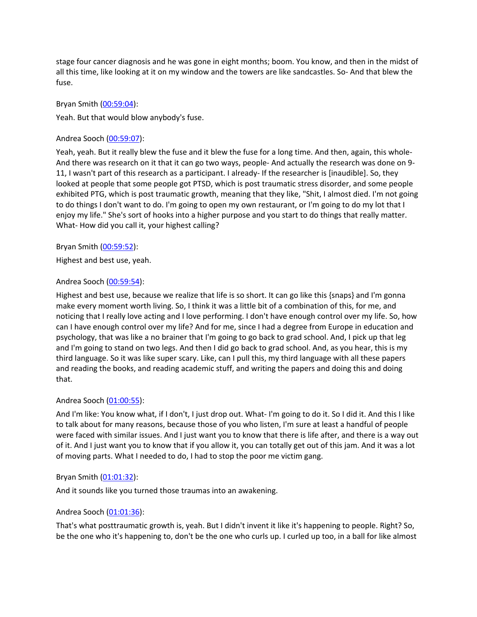stage four cancer diagnosis and he was gone in eight months; boom. You know, and then in the midst of all this time, like looking at it on my window and the towers are like sandcastles. So- And that blew the fuse.

# Bryan Smith ([00:59:04](https://www.temi.com/editor/t/qZonUaCVjD-xEijiohIoVOcEKbov8V3DvGdbALsa4pRw_8IzA7w3HncxSsraFyRZ29r0ly3IMZKFCOb90VK5zRCR_Mg?loadFrom=DocumentDeeplink&ts=3544.71)):

Yeah. But that would blow anybody's fuse.

#### Andrea Sooch ([00:59:07](https://www.temi.com/editor/t/qZonUaCVjD-xEijiohIoVOcEKbov8V3DvGdbALsa4pRw_8IzA7w3HncxSsraFyRZ29r0ly3IMZKFCOb90VK5zRCR_Mg?loadFrom=DocumentDeeplink&ts=3547.41)):

Yeah, yeah. But it really blew the fuse and it blew the fuse for a long time. And then, again, this whole-And there was research on it that it can go two ways, people- And actually the research was done on 9- 11, I wasn't part of this research as a participant. I already- If the researcher is [inaudible]. So, they looked at people that some people got PTSD, which is post traumatic stress disorder, and some people exhibited PTG, which is post traumatic growth, meaning that they like, "Shit, I almost died. I'm not going to do things I don't want to do. I'm going to open my own restaurant, or I'm going to do my lot that I enjoy my life." She's sort of hooks into a higher purpose and you start to do things that really matter. What- How did you call it, your highest calling?

#### Bryan Smith ([00:59:52](https://www.temi.com/editor/t/qZonUaCVjD-xEijiohIoVOcEKbov8V3DvGdbALsa4pRw_8IzA7w3HncxSsraFyRZ29r0ly3IMZKFCOb90VK5zRCR_Mg?loadFrom=DocumentDeeplink&ts=3592.7)):

Highest and best use, yeah.

#### Andrea Sooch ([00:59:54](https://www.temi.com/editor/t/qZonUaCVjD-xEijiohIoVOcEKbov8V3DvGdbALsa4pRw_8IzA7w3HncxSsraFyRZ29r0ly3IMZKFCOb90VK5zRCR_Mg?loadFrom=DocumentDeeplink&ts=3594.38)):

Highest and best use, because we realize that life is so short. It can go like this {snaps} and I'm gonna make every moment worth living. So, I think it was a little bit of a combination of this, for me, and noticing that I really love acting and I love performing. I don't have enough control over my life. So, how can I have enough control over my life? And for me, since I had a degree from Europe in education and psychology, that was like a no brainer that I'm going to go back to grad school. And, I pick up that leg and I'm going to stand on two legs. And then I did go back to grad school. And, as you hear, this is my third language. So it was like super scary. Like, can I pull this, my third language with all these papers and reading the books, and reading academic stuff, and writing the papers and doing this and doing that.

# Andrea Sooch ([01:00:55](https://www.temi.com/editor/t/qZonUaCVjD-xEijiohIoVOcEKbov8V3DvGdbALsa4pRw_8IzA7w3HncxSsraFyRZ29r0ly3IMZKFCOb90VK5zRCR_Mg?loadFrom=DocumentDeeplink&ts=3655.55)):

And I'm like: You know what, if I don't, I just drop out. What- I'm going to do it. So I did it. And this I like to talk about for many reasons, because those of you who listen, I'm sure at least a handful of people were faced with similar issues. And I just want you to know that there is life after, and there is a way out of it. And I just want you to know that if you allow it, you can totally get out of this jam. And it was a lot of moving parts. What I needed to do, I had to stop the poor me victim gang.

# Bryan Smith ([01:01:32](https://www.temi.com/editor/t/qZonUaCVjD-xEijiohIoVOcEKbov8V3DvGdbALsa4pRw_8IzA7w3HncxSsraFyRZ29r0ly3IMZKFCOb90VK5zRCR_Mg?loadFrom=DocumentDeeplink&ts=3692.2)):

And it sounds like you turned those traumas into an awakening.

# Andrea Sooch ([01:01:36](https://www.temi.com/editor/t/qZonUaCVjD-xEijiohIoVOcEKbov8V3DvGdbALsa4pRw_8IzA7w3HncxSsraFyRZ29r0ly3IMZKFCOb90VK5zRCR_Mg?loadFrom=DocumentDeeplink&ts=3696.16)):

That's what posttraumatic growth is, yeah. But I didn't invent it like it's happening to people. Right? So, be the one who it's happening to, don't be the one who curls up. I curled up too, in a ball for like almost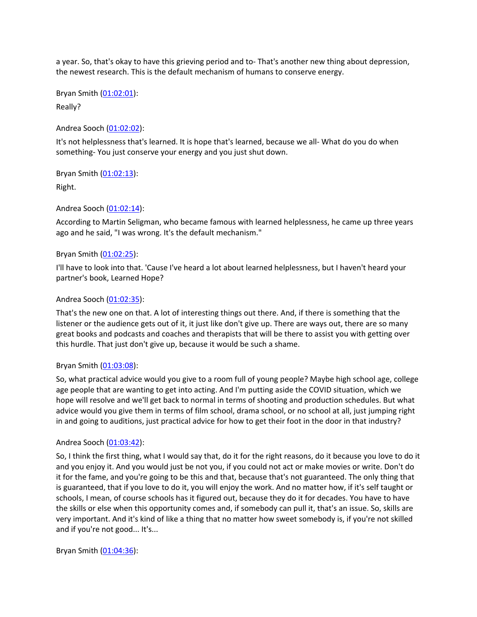a year. So, that's okay to have this grieving period and to- That's another new thing about depression, the newest research. This is the default mechanism of humans to conserve energy.

Bryan Smith ([01:02:01](https://www.temi.com/editor/t/qZonUaCVjD-xEijiohIoVOcEKbov8V3DvGdbALsa4pRw_8IzA7w3HncxSsraFyRZ29r0ly3IMZKFCOb90VK5zRCR_Mg?loadFrom=DocumentDeeplink&ts=3721.33)):

Really?

Andrea Sooch ([01:02:02](https://www.temi.com/editor/t/qZonUaCVjD-xEijiohIoVOcEKbov8V3DvGdbALsa4pRw_8IzA7w3HncxSsraFyRZ29r0ly3IMZKFCOb90VK5zRCR_Mg?loadFrom=DocumentDeeplink&ts=3722.02)):

It's not helplessness that's learned. It is hope that's learned, because we all- What do you do when something- You just conserve your energy and you just shut down.

Bryan Smith ([01:02:13](https://www.temi.com/editor/t/qZonUaCVjD-xEijiohIoVOcEKbov8V3DvGdbALsa4pRw_8IzA7w3HncxSsraFyRZ29r0ly3IMZKFCOb90VK5zRCR_Mg?loadFrom=DocumentDeeplink&ts=3733.6)): Right.

Andrea Sooch ([01:02:14](https://www.temi.com/editor/t/qZonUaCVjD-xEijiohIoVOcEKbov8V3DvGdbALsa4pRw_8IzA7w3HncxSsraFyRZ29r0ly3IMZKFCOb90VK5zRCR_Mg?loadFrom=DocumentDeeplink&ts=3734.32)):

According to Martin Seligman, who became famous with learned helplessness, he came up three years ago and he said, "I was wrong. It's the default mechanism."

#### Bryan Smith ([01:02:25](https://www.temi.com/editor/t/qZonUaCVjD-xEijiohIoVOcEKbov8V3DvGdbALsa4pRw_8IzA7w3HncxSsraFyRZ29r0ly3IMZKFCOb90VK5zRCR_Mg?loadFrom=DocumentDeeplink&ts=3745.85)):

I'll have to look into that. 'Cause I've heard a lot about learned helplessness, but I haven't heard your partner's book, Learned Hope?

#### Andrea Sooch ([01:02:35](https://www.temi.com/editor/t/qZonUaCVjD-xEijiohIoVOcEKbov8V3DvGdbALsa4pRw_8IzA7w3HncxSsraFyRZ29r0ly3IMZKFCOb90VK5zRCR_Mg?loadFrom=DocumentDeeplink&ts=3755.78)):

That's the new one on that. A lot of interesting things out there. And, if there is something that the listener or the audience gets out of it, it just like don't give up. There are ways out, there are so many great books and podcasts and coaches and therapists that will be there to assist you with getting over this hurdle. That just don't give up, because it would be such a shame.

#### Bryan Smith ([01:03:08](https://www.temi.com/editor/t/qZonUaCVjD-xEijiohIoVOcEKbov8V3DvGdbALsa4pRw_8IzA7w3HncxSsraFyRZ29r0ly3IMZKFCOb90VK5zRCR_Mg?loadFrom=DocumentDeeplink&ts=3788.45)):

So, what practical advice would you give to a room full of young people? Maybe high school age, college age people that are wanting to get into acting. And I'm putting aside the COVID situation, which we hope will resolve and we'll get back to normal in terms of shooting and production schedules. But what advice would you give them in terms of film school, drama school, or no school at all, just jumping right in and going to auditions, just practical advice for how to get their foot in the door in that industry?

#### Andrea Sooch ([01:03:42](https://www.temi.com/editor/t/qZonUaCVjD-xEijiohIoVOcEKbov8V3DvGdbALsa4pRw_8IzA7w3HncxSsraFyRZ29r0ly3IMZKFCOb90VK5zRCR_Mg?loadFrom=DocumentDeeplink&ts=3822.62)):

So, I think the first thing, what I would say that, do it for the right reasons, do it because you love to do it and you enjoy it. And you would just be not you, if you could not act or make movies or write. Don't do it for the fame, and you're going to be this and that, because that's not guaranteed. The only thing that is guaranteed, that if you love to do it, you will enjoy the work. And no matter how, if it's self taught or schools, I mean, of course schools has it figured out, because they do it for decades. You have to have the skills or else when this opportunity comes and, if somebody can pull it, that's an issue. So, skills are very important. And it's kind of like a thing that no matter how sweet somebody is, if you're not skilled and if you're not good... It's...

Bryan Smith ([01:04:36](https://www.temi.com/editor/t/qZonUaCVjD-xEijiohIoVOcEKbov8V3DvGdbALsa4pRw_8IzA7w3HncxSsraFyRZ29r0ly3IMZKFCOb90VK5zRCR_Mg?loadFrom=DocumentDeeplink&ts=3876.89)):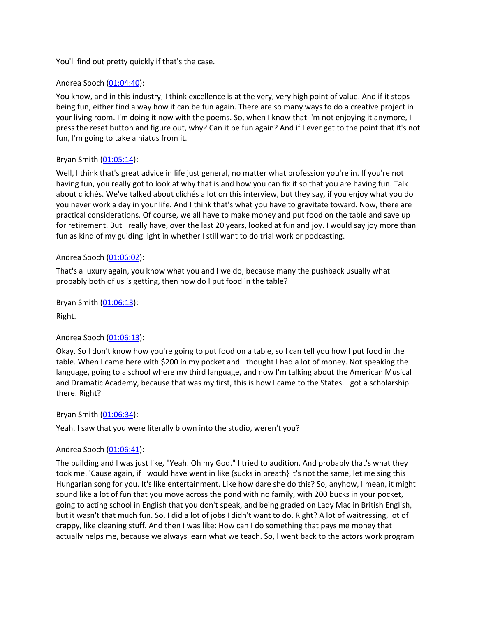You'll find out pretty quickly if that's the case.

# Andrea Sooch ([01:04:40](https://www.temi.com/editor/t/qZonUaCVjD-xEijiohIoVOcEKbov8V3DvGdbALsa4pRw_8IzA7w3HncxSsraFyRZ29r0ly3IMZKFCOb90VK5zRCR_Mg?loadFrom=DocumentDeeplink&ts=3880.1)):

You know, and in this industry, I think excellence is at the very, very high point of value. And if it stops being fun, either find a way how it can be fun again. There are so many ways to do a creative project in your living room. I'm doing it now with the poems. So, when I know that I'm not enjoying it anymore, I press the reset button and figure out, why? Can it be fun again? And if I ever get to the point that it's not fun, I'm going to take a hiatus from it.

#### Bryan Smith ([01:05:14](https://www.temi.com/editor/t/qZonUaCVjD-xEijiohIoVOcEKbov8V3DvGdbALsa4pRw_8IzA7w3HncxSsraFyRZ29r0ly3IMZKFCOb90VK5zRCR_Mg?loadFrom=DocumentDeeplink&ts=3914.27)):

Well, I think that's great advice in life just general, no matter what profession you're in. If you're not having fun, you really got to look at why that is and how you can fix it so that you are having fun. Talk about clichés. We've talked about clichés a lot on this interview, but they say, if you enjoy what you do you never work a day in your life. And I think that's what you have to gravitate toward. Now, there are practical considerations. Of course, we all have to make money and put food on the table and save up for retirement. But I really have, over the last 20 years, looked at fun and joy. I would say joy more than fun as kind of my guiding light in whether I still want to do trial work or podcasting.

#### Andrea Sooch ([01:06:02](https://www.temi.com/editor/t/qZonUaCVjD-xEijiohIoVOcEKbov8V3DvGdbALsa4pRw_8IzA7w3HncxSsraFyRZ29r0ly3IMZKFCOb90VK5zRCR_Mg?loadFrom=DocumentDeeplink&ts=3962.88)):

That's a luxury again, you know what you and I we do, because many the pushback usually what probably both of us is getting, then how do I put food in the table?

Bryan Smith ([01:06:13](https://www.temi.com/editor/t/qZonUaCVjD-xEijiohIoVOcEKbov8V3DvGdbALsa4pRw_8IzA7w3HncxSsraFyRZ29r0ly3IMZKFCOb90VK5zRCR_Mg?loadFrom=DocumentDeeplink&ts=3973.44)):

Right.

# Andrea Sooch ([01:06:13](https://www.temi.com/editor/t/qZonUaCVjD-xEijiohIoVOcEKbov8V3DvGdbALsa4pRw_8IzA7w3HncxSsraFyRZ29r0ly3IMZKFCOb90VK5zRCR_Mg?loadFrom=DocumentDeeplink&ts=3973.77)):

Okay. So I don't know how you're going to put food on a table, so I can tell you how I put food in the table. When I came here with \$200 in my pocket and I thought I had a lot of money. Not speaking the language, going to a school where my third language, and now I'm talking about the American Musical and Dramatic Academy, because that was my first, this is how I came to the States. I got a scholarship there. Right?

#### Bryan Smith ([01:06:34](https://www.temi.com/editor/t/qZonUaCVjD-xEijiohIoVOcEKbov8V3DvGdbALsa4pRw_8IzA7w3HncxSsraFyRZ29r0ly3IMZKFCOb90VK5zRCR_Mg?loadFrom=DocumentDeeplink&ts=3994.68)):

Yeah. I saw that you were literally blown into the studio, weren't you?

# Andrea Sooch ([01:06:41](https://www.temi.com/editor/t/qZonUaCVjD-xEijiohIoVOcEKbov8V3DvGdbALsa4pRw_8IzA7w3HncxSsraFyRZ29r0ly3IMZKFCOb90VK5zRCR_Mg?loadFrom=DocumentDeeplink&ts=4001.63)):

The building and I was just like, "Yeah. Oh my God." I tried to audition. And probably that's what they took me. 'Cause again, if I would have went in like {sucks in breath} it's not the same, let me sing this Hungarian song for you. It's like entertainment. Like how dare she do this? So, anyhow, I mean, it might sound like a lot of fun that you move across the pond with no family, with 200 bucks in your pocket, going to acting school in English that you don't speak, and being graded on Lady Mac in British English, but it wasn't that much fun. So, I did a lot of jobs I didn't want to do. Right? A lot of waitressing, lot of crappy, like cleaning stuff. And then I was like: How can I do something that pays me money that actually helps me, because we always learn what we teach. So, I went back to the actors work program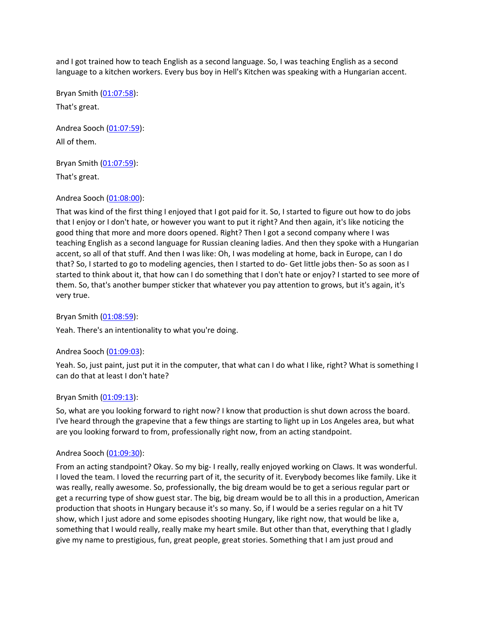and I got trained how to teach English as a second language. So, I was teaching English as a second language to a kitchen workers. Every bus boy in Hell's Kitchen was speaking with a Hungarian accent.

Bryan Smith ([01:07:58](https://www.temi.com/editor/t/qZonUaCVjD-xEijiohIoVOcEKbov8V3DvGdbALsa4pRw_8IzA7w3HncxSsraFyRZ29r0ly3IMZKFCOb90VK5zRCR_Mg?loadFrom=DocumentDeeplink&ts=4078.68)): That's great.

Andrea Sooch ([01:07:59](https://www.temi.com/editor/t/qZonUaCVjD-xEijiohIoVOcEKbov8V3DvGdbALsa4pRw_8IzA7w3HncxSsraFyRZ29r0ly3IMZKFCOb90VK5zRCR_Mg?loadFrom=DocumentDeeplink&ts=4079.46)): All of them.

Bryan Smith ([01:07:59](https://www.temi.com/editor/t/qZonUaCVjD-xEijiohIoVOcEKbov8V3DvGdbALsa4pRw_8IzA7w3HncxSsraFyRZ29r0ly3IMZKFCOb90VK5zRCR_Mg?loadFrom=DocumentDeeplink&ts=4079.46)):

That's great.

# Andrea Sooch ([01:08:00](https://www.temi.com/editor/t/qZonUaCVjD-xEijiohIoVOcEKbov8V3DvGdbALsa4pRw_8IzA7w3HncxSsraFyRZ29r0ly3IMZKFCOb90VK5zRCR_Mg?loadFrom=DocumentDeeplink&ts=4080.06)):

That was kind of the first thing I enjoyed that I got paid for it. So, I started to figure out how to do jobs that I enjoy or I don't hate, or however you want to put it right? And then again, it's like noticing the good thing that more and more doors opened. Right? Then I got a second company where I was teaching English as a second language for Russian cleaning ladies. And then they spoke with a Hungarian accent, so all of that stuff. And then I was like: Oh, I was modeling at home, back in Europe, can I do that? So, I started to go to modeling agencies, then I started to do- Get little jobs then- So as soon as I started to think about it, that how can I do something that I don't hate or enjoy? I started to see more of them. So, that's another bumper sticker that whatever you pay attention to grows, but it's again, it's very true.

Bryan Smith ([01:08:59](https://www.temi.com/editor/t/qZonUaCVjD-xEijiohIoVOcEKbov8V3DvGdbALsa4pRw_8IzA7w3HncxSsraFyRZ29r0ly3IMZKFCOb90VK5zRCR_Mg?loadFrom=DocumentDeeplink&ts=4139.71)):

Yeah. There's an intentionality to what you're doing.

# Andrea Sooch ([01:09:03](https://www.temi.com/editor/t/qZonUaCVjD-xEijiohIoVOcEKbov8V3DvGdbALsa4pRw_8IzA7w3HncxSsraFyRZ29r0ly3IMZKFCOb90VK5zRCR_Mg?loadFrom=DocumentDeeplink&ts=4143.88)):

Yeah. So, just paint, just put it in the computer, that what can I do what I like, right? What is something I can do that at least I don't hate?

# Bryan Smith ([01:09:13](https://www.temi.com/editor/t/qZonUaCVjD-xEijiohIoVOcEKbov8V3DvGdbALsa4pRw_8IzA7w3HncxSsraFyRZ29r0ly3IMZKFCOb90VK5zRCR_Mg?loadFrom=DocumentDeeplink&ts=4153.27)):

So, what are you looking forward to right now? I know that production is shut down across the board. I've heard through the grapevine that a few things are starting to light up in Los Angeles area, but what are you looking forward to from, professionally right now, from an acting standpoint.

# Andrea Sooch ([01:09:30](https://www.temi.com/editor/t/qZonUaCVjD-xEijiohIoVOcEKbov8V3DvGdbALsa4pRw_8IzA7w3HncxSsraFyRZ29r0ly3IMZKFCOb90VK5zRCR_Mg?loadFrom=DocumentDeeplink&ts=4170.04)):

From an acting standpoint? Okay. So my big- I really, really enjoyed working on Claws. It was wonderful. I loved the team. I loved the recurring part of it, the security of it. Everybody becomes like family. Like it was really, really awesome. So, professionally, the big dream would be to get a serious regular part or get a recurring type of show guest star. The big, big dream would be to all this in a production, American production that shoots in Hungary because it's so many. So, if I would be a series regular on a hit TV show, which I just adore and some episodes shooting Hungary, like right now, that would be like a, something that I would really, really make my heart smile. But other than that, everything that I gladly give my name to prestigious, fun, great people, great stories. Something that I am just proud and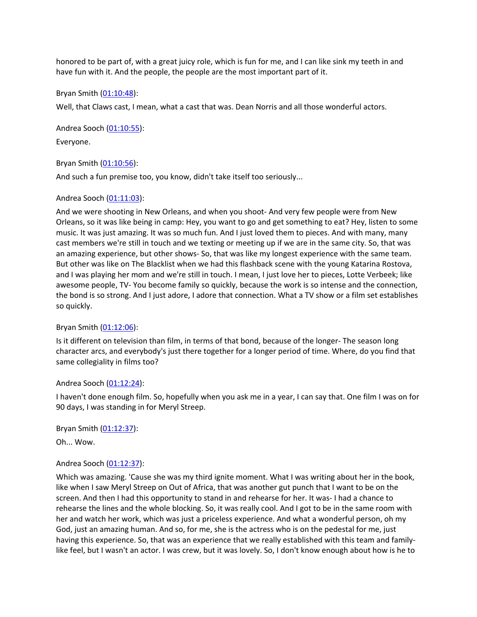honored to be part of, with a great juicy role, which is fun for me, and I can like sink my teeth in and have fun with it. And the people, the people are the most important part of it.

#### Bryan Smith ([01:10:48](https://www.temi.com/editor/t/qZonUaCVjD-xEijiohIoVOcEKbov8V3DvGdbALsa4pRw_8IzA7w3HncxSsraFyRZ29r0ly3IMZKFCOb90VK5zRCR_Mg?loadFrom=DocumentDeeplink&ts=4248.85)):

Well, that Claws cast, I mean, what a cast that was. Dean Norris and all those wonderful actors.

Andrea Sooch ([01:10:55](https://www.temi.com/editor/t/qZonUaCVjD-xEijiohIoVOcEKbov8V3DvGdbALsa4pRw_8IzA7w3HncxSsraFyRZ29r0ly3IMZKFCOb90VK5zRCR_Mg?loadFrom=DocumentDeeplink&ts=4255.061)): Everyone.

Bryan Smith ([01:10:56](https://www.temi.com/editor/t/qZonUaCVjD-xEijiohIoVOcEKbov8V3DvGdbALsa4pRw_8IzA7w3HncxSsraFyRZ29r0ly3IMZKFCOb90VK5zRCR_Mg?loadFrom=DocumentDeeplink&ts=4256.89)):

And such a fun premise too, you know, didn't take itself too seriously...

#### Andrea Sooch ([01:11:03](https://www.temi.com/editor/t/qZonUaCVjD-xEijiohIoVOcEKbov8V3DvGdbALsa4pRw_8IzA7w3HncxSsraFyRZ29r0ly3IMZKFCOb90VK5zRCR_Mg?loadFrom=DocumentDeeplink&ts=4263.43)):

And we were shooting in New Orleans, and when you shoot- And very few people were from New Orleans, so it was like being in camp: Hey, you want to go and get something to eat? Hey, listen to some music. It was just amazing. It was so much fun. And I just loved them to pieces. And with many, many cast members we're still in touch and we texting or meeting up if we are in the same city. So, that was an amazing experience, but other shows- So, that was like my longest experience with the same team. But other was like on The Blacklist when we had this flashback scene with the young Katarina Rostova, and I was playing her mom and we're still in touch. I mean, I just love her to pieces, Lotte Verbeek; like awesome people, TV- You become family so quickly, because the work is so intense and the connection, the bond is so strong. And I just adore, I adore that connection. What a TV show or a film set establishes so quickly.

#### Bryan Smith ([01:12:06](https://www.temi.com/editor/t/qZonUaCVjD-xEijiohIoVOcEKbov8V3DvGdbALsa4pRw_8IzA7w3HncxSsraFyRZ29r0ly3IMZKFCOb90VK5zRCR_Mg?loadFrom=DocumentDeeplink&ts=4326.841)):

Is it different on television than film, in terms of that bond, because of the longer- The season long character arcs, and everybody's just there together for a longer period of time. Where, do you find that same collegiality in films too?

#### Andrea Sooch ([01:12:24](https://www.temi.com/editor/t/qZonUaCVjD-xEijiohIoVOcEKbov8V3DvGdbALsa4pRw_8IzA7w3HncxSsraFyRZ29r0ly3IMZKFCOb90VK5zRCR_Mg?loadFrom=DocumentDeeplink&ts=4344.38)):

I haven't done enough film. So, hopefully when you ask me in a year, I can say that. One film I was on for 90 days, I was standing in for Meryl Streep.

Bryan Smith ([01:12:37](https://www.temi.com/editor/t/qZonUaCVjD-xEijiohIoVOcEKbov8V3DvGdbALsa4pRw_8IzA7w3HncxSsraFyRZ29r0ly3IMZKFCOb90VK5zRCR_Mg?loadFrom=DocumentDeeplink&ts=4357.1)):

Oh... Wow.

# Andrea Sooch ([01:12:37](https://www.temi.com/editor/t/qZonUaCVjD-xEijiohIoVOcEKbov8V3DvGdbALsa4pRw_8IzA7w3HncxSsraFyRZ29r0ly3IMZKFCOb90VK5zRCR_Mg?loadFrom=DocumentDeeplink&ts=4357.25)):

Which was amazing. 'Cause she was my third ignite moment. What I was writing about her in the book, like when I saw Meryl Streep on Out of Africa, that was another gut punch that I want to be on the screen. And then I had this opportunity to stand in and rehearse for her. It was- I had a chance to rehearse the lines and the whole blocking. So, it was really cool. And I got to be in the same room with her and watch her work, which was just a priceless experience. And what a wonderful person, oh my God, just an amazing human. And so, for me, she is the actress who is on the pedestal for me, just having this experience. So, that was an experience that we really established with this team and familylike feel, but I wasn't an actor. I was crew, but it was lovely. So, I don't know enough about how is he to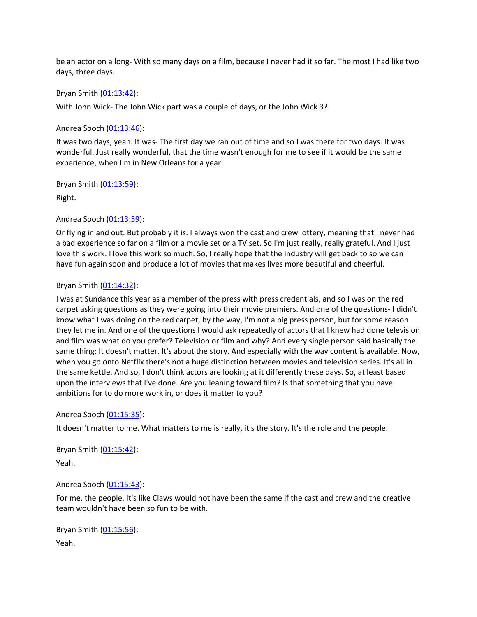be an actor on a long- With so many days on a film, because I never had it so far. The most I had like two days, three days.

#### Bryan Smith ([01:13:42](https://www.temi.com/editor/t/qZonUaCVjD-xEijiohIoVOcEKbov8V3DvGdbALsa4pRw_8IzA7w3HncxSsraFyRZ29r0ly3IMZKFCOb90VK5zRCR_Mg?loadFrom=DocumentDeeplink&ts=4422.41)):

With John Wick- The John Wick part was a couple of days, or the John Wick 3?

#### Andrea Sooch ([01:13:46](https://www.temi.com/editor/t/qZonUaCVjD-xEijiohIoVOcEKbov8V3DvGdbALsa4pRw_8IzA7w3HncxSsraFyRZ29r0ly3IMZKFCOb90VK5zRCR_Mg?loadFrom=DocumentDeeplink&ts=4426.31)):

It was two days, yeah. It was- The first day we ran out of time and so I was there for two days. It was wonderful. Just really wonderful, that the time wasn't enough for me to see if it would be the same experience, when I'm in New Orleans for a year.

Bryan Smith ([01:13:59](https://www.temi.com/editor/t/qZonUaCVjD-xEijiohIoVOcEKbov8V3DvGdbALsa4pRw_8IzA7w3HncxSsraFyRZ29r0ly3IMZKFCOb90VK5zRCR_Mg?loadFrom=DocumentDeeplink&ts=4439.18)):

Right.

# Andrea Sooch ([01:13:59](https://www.temi.com/editor/t/qZonUaCVjD-xEijiohIoVOcEKbov8V3DvGdbALsa4pRw_8IzA7w3HncxSsraFyRZ29r0ly3IMZKFCOb90VK5zRCR_Mg?loadFrom=DocumentDeeplink&ts=4439.18)):

Or flying in and out. But probably it is. I always won the cast and crew lottery, meaning that I never had a bad experience so far on a film or a movie set or a TV set. So I'm just really, really grateful. And I just love this work. I love this work so much. So, I really hope that the industry will get back to so we can have fun again soon and produce a lot of movies that makes lives more beautiful and cheerful.

#### Bryan Smith ([01:14:32](https://www.temi.com/editor/t/qZonUaCVjD-xEijiohIoVOcEKbov8V3DvGdbALsa4pRw_8IzA7w3HncxSsraFyRZ29r0ly3IMZKFCOb90VK5zRCR_Mg?loadFrom=DocumentDeeplink&ts=4472.91)):

I was at Sundance this year as a member of the press with press credentials, and so I was on the red carpet asking questions as they were going into their movie premiers. And one of the questions- I didn't know what I was doing on the red carpet, by the way, I'm not a big press person, but for some reason they let me in. And one of the questions I would ask repeatedly of actors that I knew had done television and film was what do you prefer? Television or film and why? And every single person said basically the same thing: It doesn't matter. It's about the story. And especially with the way content is available. Now, when you go onto Netflix there's not a huge distinction between movies and television series. It's all in the same kettle. And so, I don't think actors are looking at it differently these days. So, at least based upon the interviews that I've done. Are you leaning toward film? Is that something that you have ambitions for to do more work in, or does it matter to you?

# Andrea Sooch ([01:15:35](https://www.temi.com/editor/t/qZonUaCVjD-xEijiohIoVOcEKbov8V3DvGdbALsa4pRw_8IzA7w3HncxSsraFyRZ29r0ly3IMZKFCOb90VK5zRCR_Mg?loadFrom=DocumentDeeplink&ts=4535.88)):

It doesn't matter to me. What matters to me is really, it's the story. It's the role and the people.

Bryan Smith ([01:15:42](https://www.temi.com/editor/t/qZonUaCVjD-xEijiohIoVOcEKbov8V3DvGdbALsa4pRw_8IzA7w3HncxSsraFyRZ29r0ly3IMZKFCOb90VK5zRCR_Mg?loadFrom=DocumentDeeplink&ts=4542.45)): Yeah.

# Andrea Sooch ([01:15:43](https://www.temi.com/editor/t/qZonUaCVjD-xEijiohIoVOcEKbov8V3DvGdbALsa4pRw_8IzA7w3HncxSsraFyRZ29r0ly3IMZKFCOb90VK5zRCR_Mg?loadFrom=DocumentDeeplink&ts=4543.13)):

For me, the people. It's like Claws would not have been the same if the cast and crew and the creative team wouldn't have been so fun to be with.

Bryan Smith ([01:15:56](https://www.temi.com/editor/t/qZonUaCVjD-xEijiohIoVOcEKbov8V3DvGdbALsa4pRw_8IzA7w3HncxSsraFyRZ29r0ly3IMZKFCOb90VK5zRCR_Mg?loadFrom=DocumentDeeplink&ts=4556.07)): Yeah.